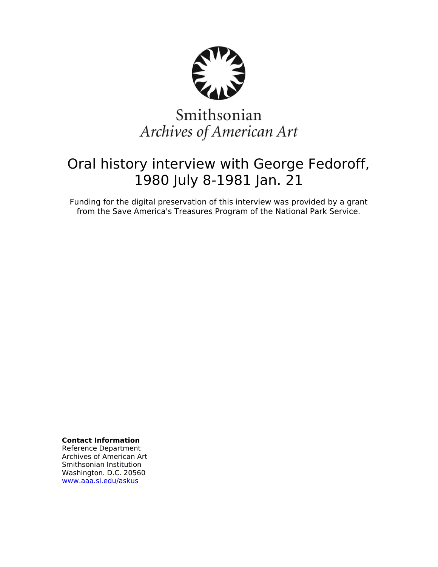

# Smithsonian Archives of American Art

# Oral history interview with George Fedoroff, 1980 July 8-1981 Jan. 21

Funding for the digital preservation of this interview was provided by a grant from the Save America's Treasures Program of the National Park Service.

**Contact Information**

Reference Department Archives of American Art Smithsonian Institution Washington. D.C. 20560 [www.aaa.si.edu/askus](http://www.aaa.si.edu/askus)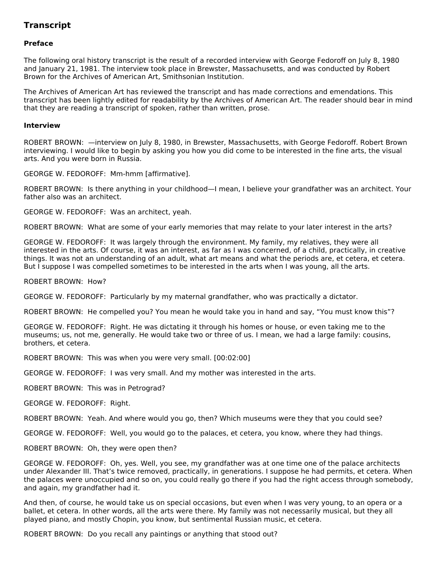# **Transcript**

# **Preface**

The following oral history transcript is the result of a recorded interview with George Fedoroff on July 8, 1980 and January 21, 1981. The interview took place in Brewster, Massachusetts, and was conducted by Robert Brown for the Archives of American Art, Smithsonian Institution.

The Archives of American Art has reviewed the transcript and has made corrections and emendations. This transcript has been lightly edited for readability by the Archives of American Art. The reader should bear in mind that they are reading a transcript of spoken, rather than written, prose.

#### **Interview**

ROBERT BROWN: —interview on July 8, 1980, in Brewster, Massachusetts, with George Fedoroff. Robert Brown interviewing. I would like to begin by asking you how you did come to be interested in the fine arts, the visual arts. And you were born in Russia.

GEORGE W. FEDOROFF: Mm-hmm [affirmative].

ROBERT BROWN: Is there anything in your childhood—I mean, I believe your grandfather was an architect. Your father also was an architect.

GEORGE W. FEDOROFF: Was an architect, yeah.

ROBERT BROWN: What are some of your early memories that may relate to your later interest in the arts?

GEORGE W. FEDOROFF: It was largely through the environment. My family, my relatives, they were all interested in the arts. Of course, it was an interest, as far as I was concerned, of a child, practically, in creative things. It was not an understanding of an adult, what art means and what the periods are, et cetera, et cetera. But I suppose I was compelled sometimes to be interested in the arts when I was young, all the arts.

ROBERT BROWN: How?

GEORGE W. FEDOROFF: Particularly by my maternal grandfather, who was practically a dictator.

ROBERT BROWN: He compelled you? You mean he would take you in hand and say, "You must know this"?

GEORGE W. FEDOROFF: Right. He was dictating it through his homes or house, or even taking me to the museums; us, not me, generally. He would take two or three of us. I mean, we had a large family: cousins, brothers, et cetera.

ROBERT BROWN: This was when you were very small. [00:02:00]

GEORGE W. FEDOROFF: I was very small. And my mother was interested in the arts.

ROBERT BROWN: This was in Petrograd?

GEORGE W. FEDOROFF: Right.

ROBERT BROWN: Yeah. And where would you go, then? Which museums were they that you could see?

GEORGE W. FEDOROFF: Well, you would go to the palaces, et cetera, you know, where they had things.

ROBERT BROWN: Oh, they were open then?

GEORGE W. FEDOROFF: Oh, yes. Well, you see, my grandfather was at one time one of the palace architects under Alexander III. That's twice removed, practically, in generations. I suppose he had permits, et cetera. When the palaces were unoccupied and so on, you could really go there if you had the right access through somebody, and again, my grandfather had it.

And then, of course, he would take us on special occasions, but even when I was very young, to an opera or a ballet, et cetera. In other words, all the arts were there. My family was not necessarily musical, but they all played piano, and mostly Chopin, you know, but sentimental Russian music, et cetera.

ROBERT BROWN: Do you recall any paintings or anything that stood out?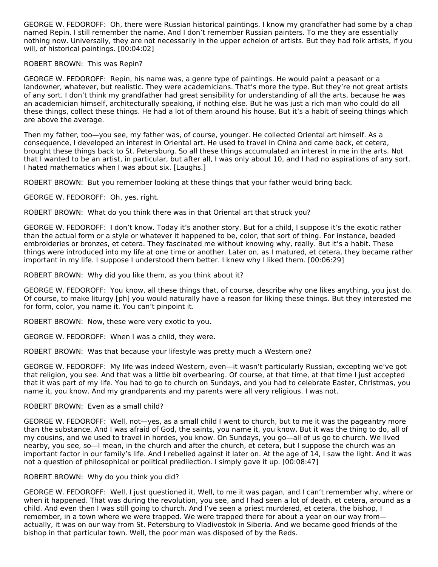GEORGE W. FEDOROFF: Oh, there were Russian historical paintings. I know my grandfather had some by a chap named Repin. I still remember the name. And I don't remember Russian painters. To me they are essentially nothing now. Universally, they are not necessarily in the upper echelon of artists. But they had folk artists, if you will, of historical paintings. [00:04:02]

### ROBERT BROWN: This was Repin?

GEORGE W. FEDOROFF: Repin, his name was, a genre type of paintings. He would paint a peasant or a landowner, whatever, but realistic. They were academicians. That's more the type. But they're not great artists of any sort. I don't think my grandfather had great sensibility for understanding of all the arts, because he was an academician himself, architecturally speaking, if nothing else. But he was just a rich man who could do all these things, collect these things. He had a lot of them around his house. But it's a habit of seeing things which are above the average.

Then my father, too—you see, my father was, of course, younger. He collected Oriental art himself. As a consequence, I developed an interest in Oriental art. He used to travel in China and came back, et cetera, brought these things back to St. Petersburg. So all these things accumulated an interest in me in the arts. Not that I wanted to be an artist, in particular, but after all, I was only about 10, and I had no aspirations of any sort. I hated mathematics when I was about six. [Laughs.]

ROBERT BROWN: But you remember looking at these things that your father would bring back.

GEORGE W. FEDOROFF: Oh, yes, right.

ROBERT BROWN: What do you think there was in that Oriental art that struck you?

GEORGE W. FEDOROFF: I don't know. Today it's another story. But for a child, I suppose it's the exotic rather than the actual form or a style or whatever it happened to be, color, that sort of thing. For instance, beaded embroideries or bronzes, et cetera. They fascinated me without knowing why, really. But it's a habit. These things were introduced into my life at one time or another. Later on, as I matured, et cetera, they became rather important in my life. I suppose I understood them better. I knew why I liked them. [00:06:29]

ROBERT BROWN: Why did you like them, as you think about it?

GEORGE W. FEDOROFF: You know, all these things that, of course, describe why one likes anything, you just do. Of course, to make liturgy [ph] you would naturally have a reason for liking these things. But they interested me for form, color, you name it. You can't pinpoint it.

ROBERT BROWN: Now, these were very exotic to you.

GEORGE W. FEDOROFF: When I was a child, they were.

ROBERT BROWN: Was that because your lifestyle was pretty much a Western one?

GEORGE W. FEDOROFF: My life was indeed Western, even—it wasn't particularly Russian, excepting we've got that religion, you see. And that was a little bit overbearing. Of course, at that time, at that time I just accepted that it was part of my life. You had to go to church on Sundays, and you had to celebrate Easter, Christmas, you name it, you know. And my grandparents and my parents were all very religious. I was not.

#### ROBERT BROWN: Even as a small child?

GEORGE W. FEDOROFF: Well, not—yes, as a small child I went to church, but to me it was the pageantry more than the substance. And I was afraid of God, the saints, you name it, you know. But it was the thing to do, all of my cousins, and we used to travel in hordes, you know. On Sundays, you go—all of us go to church. We lived nearby, you see, so—I mean, in the church and after the church, et cetera, but I suppose the church was an important factor in our family's life. And I rebelled against it later on. At the age of 14, I saw the light. And it was not a question of philosophical or political predilection. I simply gave it up. [00:08:47]

# ROBERT BROWN: Why do you think you did?

GEORGE W. FEDOROFF: Well, I just questioned it. Well, to me it was pagan, and I can't remember why, where or when it happened. That was during the revolution, you see, and I had seen a lot of death, et cetera, around as a child. And even then I was still going to church. And I've seen a priest murdered, et cetera, the bishop, I remember, in a town where we were trapped. We were trapped there for about a year on our way from actually, it was on our way from St. Petersburg to Vladivostok in Siberia. And we became good friends of the bishop in that particular town. Well, the poor man was disposed of by the Reds.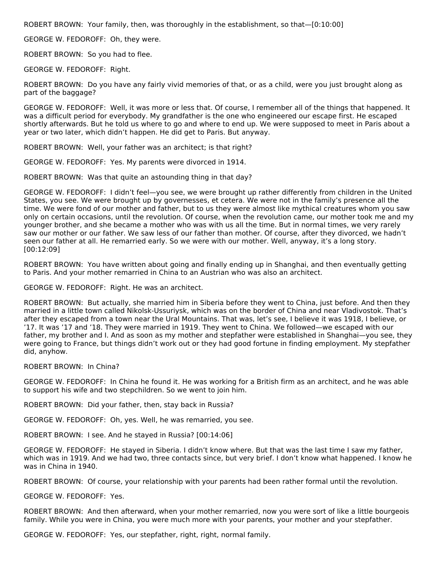ROBERT BROWN: Your family, then, was thoroughly in the establishment, so that—[0:10:00]

GEORGE W. FEDOROFF: Oh, they were.

ROBERT BROWN: So you had to flee.

GEORGE W. FEDOROFF: Right.

ROBERT BROWN: Do you have any fairly vivid memories of that, or as a child, were you just brought along as part of the baggage?

GEORGE W. FEDOROFF: Well, it was more or less that. Of course, I remember all of the things that happened. It was a difficult period for everybody. My grandfather is the one who engineered our escape first. He escaped shortly afterwards. But he told us where to go and where to end up. We were supposed to meet in Paris about a year or two later, which didn't happen. He did get to Paris. But anyway.

ROBERT BROWN: Well, your father was an architect; is that right?

GEORGE W. FEDOROFF: Yes. My parents were divorced in 1914.

ROBERT BROWN: Was that quite an astounding thing in that day?

GEORGE W. FEDOROFF: I didn't feel—you see, we were brought up rather differently from children in the United States, you see. We were brought up by governesses, et cetera. We were not in the family's presence all the time. We were fond of our mother and father, but to us they were almost like mythical creatures whom you saw only on certain occasions, until the revolution. Of course, when the revolution came, our mother took me and my younger brother, and she became a mother who was with us all the time. But in normal times, we very rarely saw our mother or our father. We saw less of our father than mother. Of course, after they divorced, we hadn't seen our father at all. He remarried early. So we were with our mother. Well, anyway, it's a long story. [00:12:09]

ROBERT BROWN: You have written about going and finally ending up in Shanghai, and then eventually getting to Paris. And your mother remarried in China to an Austrian who was also an architect.

GEORGE W. FEDOROFF: Right. He was an architect.

ROBERT BROWN: But actually, she married him in Siberia before they went to China, just before. And then they married in a little town called Nikolsk-Ussuriysk, which was on the border of China and near Vladivostok. That's after they escaped from a town near the Ural Mountains. That was, let's see, I believe it was 1918, I believe, or '17. It was '17 and '18. They were married in 1919. They went to China. We followed—we escaped with our father, my brother and I. And as soon as my mother and stepfather were established in Shanghai—you see, they were going to France, but things didn't work out or they had good fortune in finding employment. My stepfather did, anyhow.

ROBERT BROWN: In China?

GEORGE W. FEDOROFF: In China he found it. He was working for a British firm as an architect, and he was able to support his wife and two stepchildren. So we went to join him.

ROBERT BROWN: Did your father, then, stay back in Russia?

GEORGE W. FEDOROFF: Oh, yes. Well, he was remarried, you see.

ROBERT BROWN: I see. And he stayed in Russia? [00:14:06]

GEORGE W. FEDOROFF: He stayed in Siberia. I didn't know where. But that was the last time I saw my father, which was in 1919. And we had two, three contacts since, but very brief. I don't know what happened. I know he was in China in 1940.

ROBERT BROWN: Of course, your relationship with your parents had been rather formal until the revolution.

GEORGE W. FEDOROFF: Yes.

ROBERT BROWN: And then afterward, when your mother remarried, now you were sort of like a little bourgeois family. While you were in China, you were much more with your parents, your mother and your stepfather.

GEORGE W. FEDOROFF: Yes, our stepfather, right, right, normal family.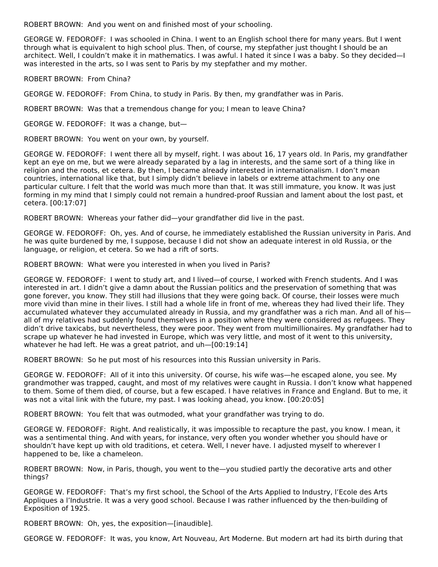ROBERT BROWN: And you went on and finished most of your schooling.

GEORGE W. FEDOROFF: I was schooled in China. I went to an English school there for many years. But I went through what is equivalent to high school plus. Then, of course, my stepfather just thought I should be an architect. Well, I couldn't make it in mathematics. I was awful. I hated it since I was a baby. So they decided—I was interested in the arts, so I was sent to Paris by my stepfather and my mother.

ROBERT BROWN: From China?

GEORGE W. FEDOROFF: From China, to study in Paris. By then, my grandfather was in Paris.

ROBERT BROWN: Was that a tremendous change for you; I mean to leave China?

GEORGE W. FEDOROFF: It was a change, but—

ROBERT BROWN: You went on your own, by yourself.

GEORGE W. FEDOROFF: I went there all by myself, right. I was about 16, 17 years old. In Paris, my grandfather kept an eye on me, but we were already separated by a lag in interests, and the same sort of a thing like in religion and the roots, et cetera. By then, I became already interested in internationalism. I don't mean countries, international like that, but I simply didn't believe in labels or extreme attachment to any one particular culture. I felt that the world was much more than that. It was still immature, you know. It was just forming in my mind that I simply could not remain a hundred-proof Russian and lament about the lost past, et cetera. [00:17:07]

ROBERT BROWN: Whereas your father did—your grandfather did live in the past.

GEORGE W. FEDOROFF: Oh, yes. And of course, he immediately established the Russian university in Paris. And he was quite burdened by me, I suppose, because I did not show an adequate interest in old Russia, or the language, or religion, et cetera. So we had a rift of sorts.

ROBERT BROWN: What were you interested in when you lived in Paris?

GEORGE W. FEDOROFF: I went to study art, and I lived—of course, I worked with French students. And I was interested in art. I didn't give a damn about the Russian politics and the preservation of something that was gone forever, you know. They still had illusions that they were going back. Of course, their losses were much more vivid than mine in their lives. I still had a whole life in front of me, whereas they had lived their life. They accumulated whatever they accumulated already in Russia, and my grandfather was a rich man. And all of his all of my relatives had suddenly found themselves in a position where they were considered as refugees. They didn't drive taxicabs, but nevertheless, they were poor. They went from multimillionaires. My grandfather had to scrape up whatever he had invested in Europe, which was very little, and most of it went to this university, whatever he had left. He was a great patriot, and uh—[00:19:14]

ROBERT BROWN: So he put most of his resources into this Russian university in Paris.

GEORGE W. FEDOROFF: All of it into this university. Of course, his wife was—he escaped alone, you see. My grandmother was trapped, caught, and most of my relatives were caught in Russia. I don't know what happened to them. Some of them died, of course, but a few escaped. I have relatives in France and England. But to me, it was not a vital link with the future, my past. I was looking ahead, you know. [00:20:05]

ROBERT BROWN: You felt that was outmoded, what your grandfather was trying to do.

GEORGE W. FEDOROFF: Right. And realistically, it was impossible to recapture the past, you know. I mean, it was a sentimental thing. And with years, for instance, very often you wonder whether you should have or shouldn't have kept up with old traditions, et cetera. Well, I never have. I adjusted myself to wherever I happened to be, like a chameleon.

ROBERT BROWN: Now, in Paris, though, you went to the—you studied partly the decorative arts and other things?

GEORGE W. FEDOROFF: That's my first school, the School of the Arts Applied to Industry, l'Ecole des Arts Appliques a l'Industrie. It was a very good school. Because I was rather influenced by the then-building of Exposition of 1925.

ROBERT BROWN: Oh, yes, the exposition—[inaudible].

GEORGE W. FEDOROFF: It was, you know, Art Nouveau, Art Moderne. But modern art had its birth during that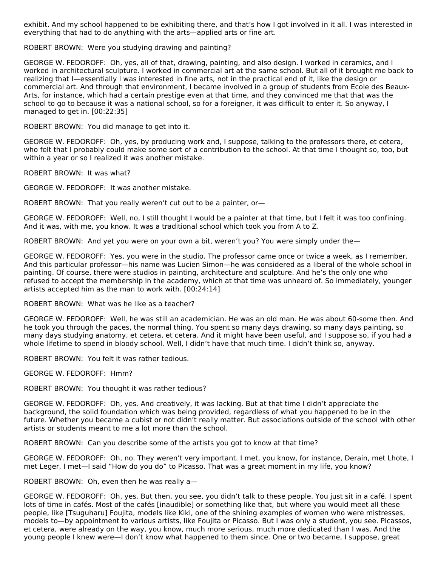exhibit. And my school happened to be exhibiting there, and that's how I got involved in it all. I was interested in everything that had to do anything with the arts—applied arts or fine art.

ROBERT BROWN: Were you studying drawing and painting?

GEORGE W. FEDOROFF: Oh, yes, all of that, drawing, painting, and also design. I worked in ceramics, and I worked in architectural sculpture. I worked in commercial art at the same school. But all of it brought me back to realizing that I—essentially I was interested in fine arts, not in the practical end of it, like the design or commercial art. And through that environment, I became involved in a group of students from Ecole des Beaux-Arts, for instance, which had a certain prestige even at that time, and they convinced me that that was the school to go to because it was a national school, so for a foreigner, it was difficult to enter it. So anyway, I managed to get in. [00:22:35]

ROBERT BROWN: You did manage to get into it.

GEORGE W. FEDOROFF: Oh, yes, by producing work and, I suppose, talking to the professors there, et cetera, who felt that I probably could make some sort of a contribution to the school. At that time I thought so, too, but within a year or so I realized it was another mistake.

ROBERT BROWN: It was what?

GEORGE W. FEDOROFF: It was another mistake.

ROBERT BROWN: That you really weren't cut out to be a painter, or—

GEORGE W. FEDOROFF: Well, no, I still thought I would be a painter at that time, but I felt it was too confining. And it was, with me, you know. It was a traditional school which took you from A to Z.

ROBERT BROWN: And yet you were on your own a bit, weren't you? You were simply under the—

GEORGE W. FEDOROFF: Yes, you were in the studio. The professor came once or twice a week, as I remember. And this particular professor—his name was Lucien Simon—he was considered as a liberal of the whole school in painting. Of course, there were studios in painting, architecture and sculpture. And he's the only one who refused to accept the membership in the academy, which at that time was unheard of. So immediately, younger artists accepted him as the man to work with. [00:24:14]

ROBERT BROWN: What was he like as a teacher?

GEORGE W. FEDOROFF: Well, he was still an academician. He was an old man. He was about 60-some then. And he took you through the paces, the normal thing. You spent so many days drawing, so many days painting, so many days studying anatomy, et cetera, et cetera. And it might have been useful, and I suppose so, if you had a whole lifetime to spend in bloody school. Well, I didn't have that much time. I didn't think so, anyway.

ROBERT BROWN: You felt it was rather tedious.

GEORGE W. FEDOROFF: Hmm?

ROBERT BROWN: You thought it was rather tedious?

GEORGE W. FEDOROFF: Oh, yes. And creatively, it was lacking. But at that time I didn't appreciate the background, the solid foundation which was being provided, regardless of what you happened to be in the future. Whether you became a cubist or not didn't really matter. But associations outside of the school with other artists or students meant to me a lot more than the school.

ROBERT BROWN: Can you describe some of the artists you got to know at that time?

GEORGE W. FEDOROFF: Oh, no. They weren't very important. I met, you know, for instance, Derain, met Lhote, I met Leger, I met—I said "How do you do" to Picasso. That was a great moment in my life, you know?

ROBERT BROWN: Oh, even then he was really a—

GEORGE W. FEDOROFF: Oh, yes. But then, you see, you didn't talk to these people. You just sit in a café. I spent lots of time in cafés. Most of the cafés [inaudible] or something like that, but where you would meet all these people, like [Tsuguharu] Foujita, models like Kiki, one of the shining examples of women who were mistresses, models to—by appointment to various artists, like Foujita or Picasso. But I was only a student, you see. Picassos, et cetera, were already on the way, you know, much more serious, much more dedicated than I was. And the young people I knew were—I don't know what happened to them since. One or two became, I suppose, great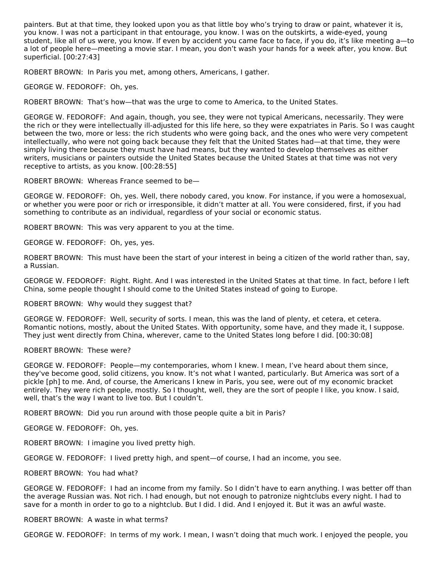painters. But at that time, they looked upon you as that little boy who's trying to draw or paint, whatever it is, you know. I was not a participant in that entourage, you know. I was on the outskirts, a wide-eyed, young student, like all of us were, you know. If even by accident you came face to face, if you do, it's like meeting a—to a lot of people here—meeting a movie star. I mean, you don't wash your hands for a week after, you know. But superficial. [00:27:43]

ROBERT BROWN: In Paris you met, among others, Americans, I gather.

GEORGE W. FEDOROFF: Oh, yes.

ROBERT BROWN: That's how—that was the urge to come to America, to the United States.

GEORGE W. FEDOROFF: And again, though, you see, they were not typical Americans, necessarily. They were the rich or they were intellectually ill-adjusted for this life here, so they were expatriates in Paris. So I was caught between the two, more or less: the rich students who were going back, and the ones who were very competent intellectually, who were not going back because they felt that the United States had—at that time, they were simply living there because they must have had means, but they wanted to develop themselves as either writers, musicians or painters outside the United States because the United States at that time was not very receptive to artists, as you know. [00:28:55]

ROBERT BROWN: Whereas France seemed to be—

GEORGE W. FEDOROFF: Oh, yes. Well, there nobody cared, you know. For instance, if you were a homosexual, or whether you were poor or rich or irresponsible, it didn't matter at all. You were considered, first, if you had something to contribute as an individual, regardless of your social or economic status.

ROBERT BROWN: This was very apparent to you at the time.

GEORGE W. FEDOROFF: Oh, yes, yes.

ROBERT BROWN: This must have been the start of your interest in being a citizen of the world rather than, say, a Russian.

GEORGE W. FEDOROFF: Right. Right. And I was interested in the United States at that time. In fact, before I left China, some people thought I should come to the United States instead of going to Europe.

ROBERT BROWN: Why would they suggest that?

GEORGE W. FEDOROFF: Well, security of sorts. I mean, this was the land of plenty, et cetera, et cetera. Romantic notions, mostly, about the United States. With opportunity, some have, and they made it, I suppose. They just went directly from China, wherever, came to the United States long before I did. [00:30:08]

# ROBERT BROWN: These were?

GEORGE W. FEDOROFF: People—my contemporaries, whom I knew. I mean, I've heard about them since, they've become good, solid citizens, you know. It's not what I wanted, particularly. But America was sort of a pickle [ph] to me. And, of course, the Americans I knew in Paris, you see, were out of my economic bracket entirely. They were rich people, mostly. So I thought, well, they are the sort of people I like, you know. I said, well, that's the way I want to live too. But I couldn't.

ROBERT BROWN: Did you run around with those people quite a bit in Paris?

GEORGE W. FEDOROFF: Oh, yes.

ROBERT BROWN: I imagine you lived pretty high.

GEORGE W. FEDOROFF: I lived pretty high, and spent—of course, I had an income, you see.

ROBERT BROWN: You had what?

GEORGE W. FEDOROFF: I had an income from my family. So I didn't have to earn anything. I was better off than the average Russian was. Not rich. I had enough, but not enough to patronize nightclubs every night. I had to save for a month in order to go to a nightclub. But I did. I did. And I enjoyed it. But it was an awful waste.

ROBERT BROWN: A waste in what terms?

GEORGE W. FEDOROFF: In terms of my work. I mean, I wasn't doing that much work. I enjoyed the people, you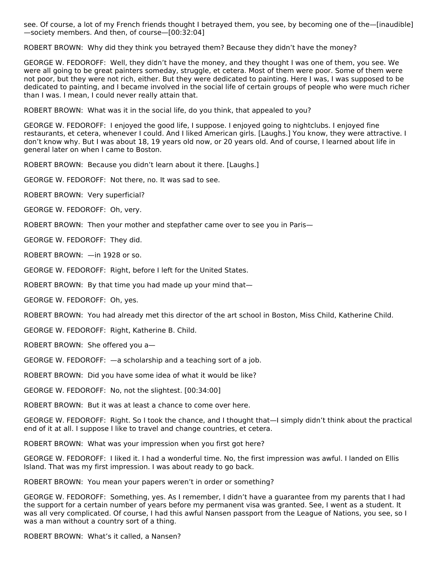see. Of course, a lot of my French friends thought I betrayed them, you see, by becoming one of the—[inaudible] —society members. And then, of course—[00:32:04]

ROBERT BROWN: Why did they think you betrayed them? Because they didn't have the money?

GEORGE W. FEDOROFF: Well, they didn't have the money, and they thought I was one of them, you see. We were all going to be great painters someday, struggle, et cetera. Most of them were poor. Some of them were not poor, but they were not rich, either. But they were dedicated to painting. Here I was, I was supposed to be dedicated to painting, and I became involved in the social life of certain groups of people who were much richer than I was. I mean, I could never really attain that.

ROBERT BROWN: What was it in the social life, do you think, that appealed to you?

GEORGE W. FEDOROFF: I enjoyed the good life, I suppose. I enjoyed going to nightclubs. I enjoyed fine restaurants, et cetera, whenever I could. And I liked American girls. [Laughs.] You know, they were attractive. I don't know why. But I was about 18, 19 years old now, or 20 years old. And of course, I learned about life in general later on when I came to Boston.

ROBERT BROWN: Because you didn't learn about it there. [Laughs.]

GEORGE W. FEDOROFF: Not there, no. It was sad to see.

ROBERT BROWN: Very superficial?

GEORGE W. FEDOROFF: Oh, very.

ROBERT BROWN: Then your mother and stepfather came over to see you in Paris—

GEORGE W. FEDOROFF: They did.

ROBERT BROWN: —in 1928 or so.

GEORGE W. FEDOROFF: Right, before I left for the United States.

ROBERT BROWN: By that time you had made up your mind that—

GEORGE W. FEDOROFF: Oh, yes.

ROBERT BROWN: You had already met this director of the art school in Boston, Miss Child, Katherine Child.

GEORGE W. FEDOROFF: Right, Katherine B. Child.

ROBERT BROWN: She offered you a—

GEORGE W. FEDOROFF: —a scholarship and a teaching sort of a job.

ROBERT BROWN: Did you have some idea of what it would be like?

GEORGE W. FEDOROFF: No, not the slightest. [00:34:00]

ROBERT BROWN: But it was at least a chance to come over here.

GEORGE W. FEDOROFF: Right. So I took the chance, and I thought that—I simply didn't think about the practical end of it at all. I suppose I like to travel and change countries, et cetera.

ROBERT BROWN: What was your impression when you first got here?

GEORGE W. FEDOROFF: I liked it. I had a wonderful time. No, the first impression was awful. I landed on Ellis Island. That was my first impression. I was about ready to go back.

ROBERT BROWN: You mean your papers weren't in order or something?

GEORGE W. FEDOROFF: Something, yes. As I remember, I didn't have a guarantee from my parents that I had the support for a certain number of years before my permanent visa was granted. See, I went as a student. It was all very complicated. Of course, I had this awful Nansen passport from the League of Nations, you see, so I was a man without a country sort of a thing.

ROBERT BROWN: What's it called, a Nansen?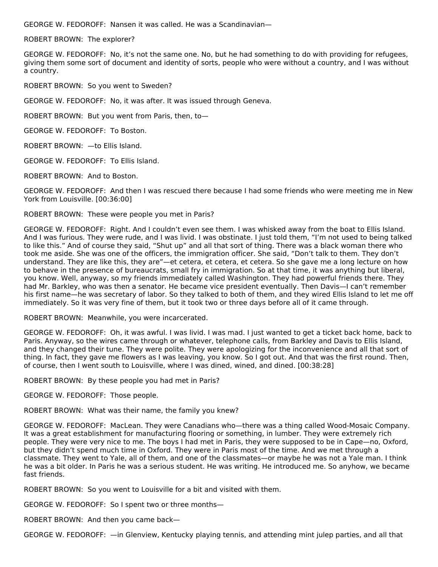GEORGE W. FEDOROFF: Nansen it was called. He was a Scandinavian—

ROBERT BROWN: The explorer?

GEORGE W. FEDOROFF: No, it's not the same one. No, but he had something to do with providing for refugees, giving them some sort of document and identity of sorts, people who were without a country, and I was without a country.

ROBERT BROWN: So you went to Sweden?

GEORGE W. FEDOROFF: No, it was after. It was issued through Geneva.

ROBERT BROWN: But you went from Paris, then, to—

GEORGE W. FEDOROFF: To Boston.

ROBERT BROWN: —to Ellis Island.

GEORGE W. FEDOROFF: To Ellis Island.

ROBERT BROWN: And to Boston.

GEORGE W. FEDOROFF: And then I was rescued there because I had some friends who were meeting me in New York from Louisville. [00:36:00]

ROBERT BROWN: These were people you met in Paris?

GEORGE W. FEDOROFF: Right. And I couldn't even see them. I was whisked away from the boat to Ellis Island. And I was furious. They were rude, and I was livid. I was obstinate. I just told them, "I'm not used to being talked to like this." And of course they said, "Shut up" and all that sort of thing. There was a black woman there who took me aside. She was one of the officers, the immigration officer. She said, "Don't talk to them. They don't understand. They are like this, they are"—et cetera, et cetera, et cetera. So she gave me a long lecture on how to behave in the presence of bureaucrats, small fry in immigration. So at that time, it was anything but liberal, you know. Well, anyway, so my friends immediately called Washington. They had powerful friends there. They had Mr. Barkley, who was then a senator. He became vice president eventually. Then Davis—I can't remember his first name—he was secretary of labor. So they talked to both of them, and they wired Ellis Island to let me off immediately. So it was very fine of them, but it took two or three days before all of it came through.

ROBERT BROWN: Meanwhile, you were incarcerated.

GEORGE W. FEDOROFF: Oh, it was awful. I was livid. I was mad. I just wanted to get a ticket back home, back to Paris. Anyway, so the wires came through or whatever, telephone calls, from Barkley and Davis to Ellis Island, and they changed their tune. They were polite. They were apologizing for the inconvenience and all that sort of thing. In fact, they gave me flowers as I was leaving, you know. So I got out. And that was the first round. Then, of course, then I went south to Louisville, where I was dined, wined, and dined. [00:38:28]

ROBERT BROWN: By these people you had met in Paris?

GEORGE W. FEDOROFF: Those people.

ROBERT BROWN: What was their name, the family you knew?

GEORGE W. FEDOROFF: MacLean. They were Canadians who—there was a thing called Wood-Mosaic Company. It was a great establishment for manufacturing flooring or something, in lumber. They were extremely rich people. They were very nice to me. The boys I had met in Paris, they were supposed to be in Cape—no, Oxford, but they didn't spend much time in Oxford. They were in Paris most of the time. And we met through a classmate. They went to Yale, all of them, and one of the classmates—or maybe he was not a Yale man. I think he was a bit older. In Paris he was a serious student. He was writing. He introduced me. So anyhow, we became fast friends.

ROBERT BROWN: So you went to Louisville for a bit and visited with them.

GEORGE W. FEDOROFF: So I spent two or three months—

ROBERT BROWN: And then you came back—

GEORGE W. FEDOROFF: —in Glenview, Kentucky playing tennis, and attending mint julep parties, and all that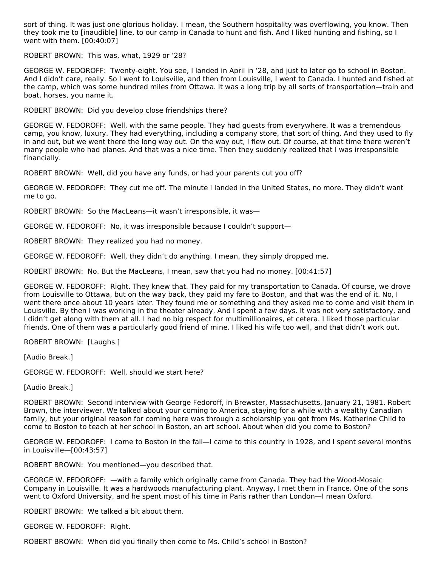sort of thing. It was just one glorious holiday. I mean, the Southern hospitality was overflowing, you know. Then they took me to [inaudible] line, to our camp in Canada to hunt and fish. And I liked hunting and fishing, so I went with them. [00:40:07]

ROBERT BROWN: This was, what, 1929 or '28?

GEORGE W. FEDOROFF: Twenty-eight. You see, I landed in April in '28, and just to later go to school in Boston. And I didn't care, really. So I went to Louisville, and then from Louisville, I went to Canada. I hunted and fished at the camp, which was some hundred miles from Ottawa. It was a long trip by all sorts of transportation—train and boat, horses, you name it.

ROBERT BROWN: Did you develop close friendships there?

GEORGE W. FEDOROFF: Well, with the same people. They had guests from everywhere. It was a tremendous camp, you know, luxury. They had everything, including a company store, that sort of thing. And they used to fly in and out, but we went there the long way out. On the way out, I flew out. Of course, at that time there weren't many people who had planes. And that was a nice time. Then they suddenly realized that I was irresponsible financially.

ROBERT BROWN: Well, did you have any funds, or had your parents cut you off?

GEORGE W. FEDOROFF: They cut me off. The minute I landed in the United States, no more. They didn't want me to go.

ROBERT BROWN: So the MacLeans—it wasn't irresponsible, it was—

GEORGE W. FEDOROFF: No, it was irresponsible because I couldn't support—

ROBERT BROWN: They realized you had no money.

GEORGE W. FEDOROFF: Well, they didn't do anything. I mean, they simply dropped me.

ROBERT BROWN: No. But the MacLeans, I mean, saw that you had no money. [00:41:57]

GEORGE W. FEDOROFF: Right. They knew that. They paid for my transportation to Canada. Of course, we drove from Louisville to Ottawa, but on the way back, they paid my fare to Boston, and that was the end of it. No, I went there once about 10 years later. They found me or something and they asked me to come and visit them in Louisville. By then I was working in the theater already. And I spent a few days. It was not very satisfactory, and I didn't get along with them at all. I had no big respect for multimillionaires, et cetera. I liked those particular friends. One of them was a particularly good friend of mine. I liked his wife too well, and that didn't work out.

ROBERT BROWN: [Laughs.]

[Audio Break.]

GEORGE W. FEDOROFF: Well, should we start here?

[Audio Break.]

ROBERT BROWN: Second interview with George Fedoroff, in Brewster, Massachusetts, January 21, 1981. Robert Brown, the interviewer. We talked about your coming to America, staying for a while with a wealthy Canadian family, but your original reason for coming here was through a scholarship you got from Ms. Katherine Child to come to Boston to teach at her school in Boston, an art school. About when did you come to Boston?

GEORGE W. FEDOROFF: I came to Boston in the fall—I came to this country in 1928, and I spent several months in Louisville—[00:43:57]

ROBERT BROWN: You mentioned—you described that.

GEORGE W. FEDOROFF: —with a family which originally came from Canada. They had the Wood-Mosaic Company in Louisville. It was a hardwoods manufacturing plant. Anyway, I met them in France. One of the sons went to Oxford University, and he spent most of his time in Paris rather than London—I mean Oxford.

ROBERT BROWN: We talked a bit about them.

GEORGE W. FEDOROFF: Right.

ROBERT BROWN: When did you finally then come to Ms. Child's school in Boston?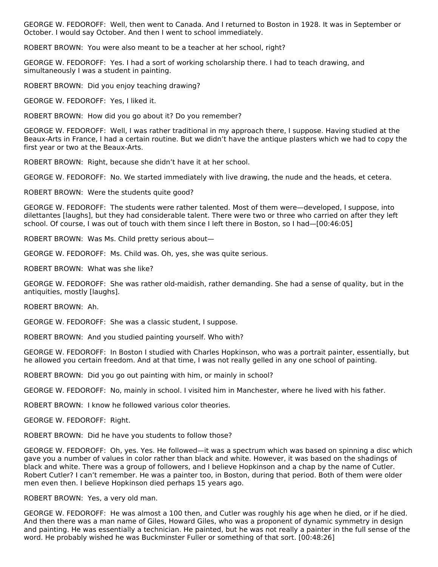GEORGE W. FEDOROFF: Well, then went to Canada. And I returned to Boston in 1928. It was in September or October. I would say October. And then I went to school immediately.

ROBERT BROWN: You were also meant to be a teacher at her school, right?

GEORGE W. FEDOROFF: Yes. I had a sort of working scholarship there. I had to teach drawing, and simultaneously I was a student in painting.

ROBERT BROWN: Did you enjoy teaching drawing?

GEORGE W. FEDOROFF: Yes, I liked it.

ROBERT BROWN: How did you go about it? Do you remember?

GEORGE W. FEDOROFF: Well, I was rather traditional in my approach there, I suppose. Having studied at the Beaux-Arts in France, I had a certain routine. But we didn't have the antique plasters which we had to copy the first year or two at the Beaux-Arts.

ROBERT BROWN: Right, because she didn't have it at her school.

GEORGE W. FEDOROFF: No. We started immediately with live drawing, the nude and the heads, et cetera.

ROBERT BROWN: Were the students quite good?

GEORGE W. FEDOROFF: The students were rather talented. Most of them were—developed, I suppose, into dilettantes [laughs], but they had considerable talent. There were two or three who carried on after they left school. Of course, I was out of touch with them since I left there in Boston, so I had—[00:46:05]

ROBERT BROWN: Was Ms. Child pretty serious about—

GEORGE W. FEDOROFF: Ms. Child was. Oh, yes, she was quite serious.

ROBERT BROWN: What was she like?

GEORGE W. FEDOROFF: She was rather old-maidish, rather demanding. She had a sense of quality, but in the antiquities, mostly [laughs].

ROBERT BROWN: Ah.

GEORGE W. FEDOROFF: She was a classic student, I suppose.

ROBERT BROWN: And you studied painting yourself. Who with?

GEORGE W. FEDOROFF: In Boston I studied with Charles Hopkinson, who was a portrait painter, essentially, but he allowed you certain freedom. And at that time, I was not really gelled in any one school of painting.

ROBERT BROWN: Did you go out painting with him, or mainly in school?

GEORGE W. FEDOROFF: No, mainly in school. I visited him in Manchester, where he lived with his father.

ROBERT BROWN: I know he followed various color theories.

GEORGE W. FEDOROFF: Right.

ROBERT BROWN: Did he have you students to follow those?

GEORGE W. FEDOROFF: Oh, yes. Yes. He followed—it was a spectrum which was based on spinning a disc which gave you a number of values in color rather than black and white. However, it was based on the shadings of black and white. There was a group of followers, and I believe Hopkinson and a chap by the name of Cutler. Robert Cutler? I can't remember. He was a painter too, in Boston, during that period. Both of them were older men even then. I believe Hopkinson died perhaps 15 years ago.

ROBERT BROWN: Yes, a very old man.

GEORGE W. FEDOROFF: He was almost a 100 then, and Cutler was roughly his age when he died, or if he died. And then there was a man name of Giles, Howard Giles, who was a proponent of dynamic symmetry in design and painting. He was essentially a technician. He painted, but he was not really a painter in the full sense of the word. He probably wished he was Buckminster Fuller or something of that sort. [00:48:26]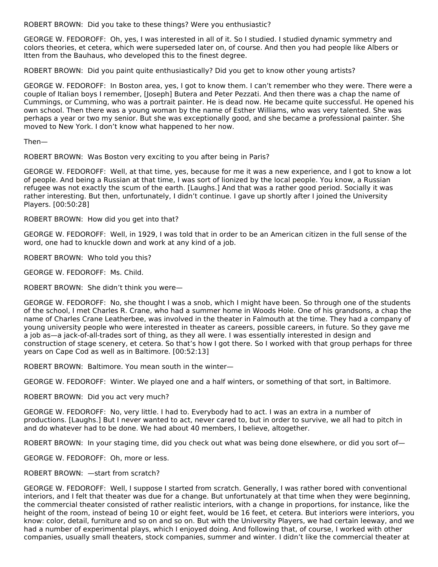ROBERT BROWN: Did you take to these things? Were you enthusiastic?

GEORGE W. FEDOROFF: Oh, yes, I was interested in all of it. So I studied. I studied dynamic symmetry and colors theories, et cetera, which were superseded later on, of course. And then you had people like Albers or Itten from the Bauhaus, who developed this to the finest degree.

ROBERT BROWN: Did you paint quite enthusiastically? Did you get to know other young artists?

GEORGE W. FEDOROFF: In Boston area, yes, I got to know them. I can't remember who they were. There were a couple of Italian boys I remember, [Joseph] Butera and Peter Pezzati. And then there was a chap the name of Cummings, or Cumming, who was a portrait painter. He is dead now. He became quite successful. He opened his own school. Then there was a young woman by the name of Esther Williams, who was very talented. She was perhaps a year or two my senior. But she was exceptionally good, and she became a professional painter. She moved to New York. I don't know what happened to her now.

Then—

ROBERT BROWN: Was Boston very exciting to you after being in Paris?

GEORGE W. FEDOROFF: Well, at that time, yes, because for me it was a new experience, and I got to know a lot of people. And being a Russian at that time, I was sort of lionized by the local people. You know, a Russian refugee was not exactly the scum of the earth. [Laughs.] And that was a rather good period. Socially it was rather interesting. But then, unfortunately, I didn't continue. I gave up shortly after I joined the University Players. [00:50:28]

ROBERT BROWN: How did you get into that?

GEORGE W. FEDOROFF: Well, in 1929, I was told that in order to be an American citizen in the full sense of the word, one had to knuckle down and work at any kind of a job.

ROBERT BROWN: Who told you this?

GEORGE W. FEDOROFF: Ms. Child.

ROBERT BROWN: She didn't think you were—

GEORGE W. FEDOROFF: No, she thought I was a snob, which I might have been. So through one of the students of the school, I met Charles R. Crane, who had a summer home in Woods Hole. One of his grandsons, a chap the name of Charles Crane Leatherbee, was involved in the theater in Falmouth at the time. They had a company of young university people who were interested in theater as careers, possible careers, in future. So they gave me a job as—a jack-of-all-trades sort of thing, as they all were. I was essentially interested in design and construction of stage scenery, et cetera. So that's how I got there. So I worked with that group perhaps for three years on Cape Cod as well as in Baltimore. [00:52:13]

ROBERT BROWN: Baltimore. You mean south in the winter—

GEORGE W. FEDOROFF: Winter. We played one and a half winters, or something of that sort, in Baltimore.

ROBERT BROWN: Did you act very much?

GEORGE W. FEDOROFF: No, very little. I had to. Everybody had to act. I was an extra in a number of productions. [Laughs.] But I never wanted to act, never cared to, but in order to survive, we all had to pitch in and do whatever had to be done. We had about 40 members, I believe, altogether.

ROBERT BROWN: In your staging time, did you check out what was being done elsewhere, or did you sort of—

GEORGE W. FEDOROFF: Oh, more or less.

# ROBERT BROWN: —start from scratch?

GEORGE W. FEDOROFF: Well, I suppose I started from scratch. Generally, I was rather bored with conventional interiors, and I felt that theater was due for a change. But unfortunately at that time when they were beginning, the commercial theater consisted of rather realistic interiors, with a change in proportions, for instance, like the height of the room, instead of being 10 or eight feet, would be 16 feet, et cetera. But interiors were interiors, you know: color, detail, furniture and so on and so on. But with the University Players, we had certain leeway, and we had a number of experimental plays, which I enjoyed doing. And following that, of course, I worked with other companies, usually small theaters, stock companies, summer and winter. I didn't like the commercial theater at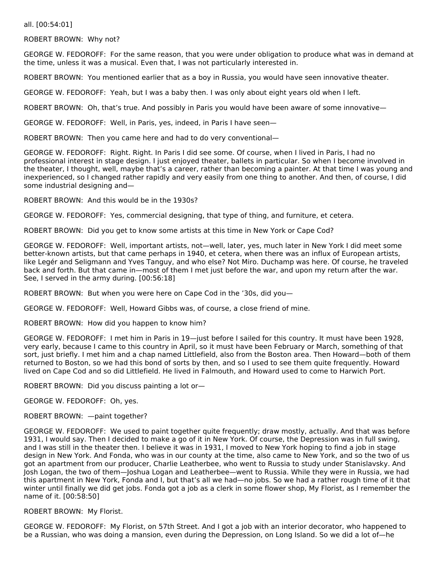all. [00:54:01]

ROBERT BROWN: Why not?

GEORGE W. FEDOROFF: For the same reason, that you were under obligation to produce what was in demand at the time, unless it was a musical. Even that, I was not particularly interested in.

ROBERT BROWN: You mentioned earlier that as a boy in Russia, you would have seen innovative theater.

GEORGE W. FEDOROFF: Yeah, but I was a baby then. I was only about eight years old when I left.

ROBERT BROWN: Oh, that's true. And possibly in Paris you would have been aware of some innovative—

GEORGE W. FEDOROFF: Well, in Paris, yes, indeed, in Paris I have seen—

ROBERT BROWN: Then you came here and had to do very conventional—

GEORGE W. FEDOROFF: Right. Right. In Paris I did see some. Of course, when I lived in Paris, I had no professional interest in stage design. I just enjoyed theater, ballets in particular. So when I become involved in the theater, I thought, well, maybe that's a career, rather than becoming a painter. At that time I was young and inexperienced, so I changed rather rapidly and very easily from one thing to another. And then, of course, I did some industrial designing and—

ROBERT BROWN: And this would be in the 1930s?

GEORGE W. FEDOROFF: Yes, commercial designing, that type of thing, and furniture, et cetera.

ROBERT BROWN: Did you get to know some artists at this time in New York or Cape Cod?

GEORGE W. FEDOROFF: Well, important artists, not—well, later, yes, much later in New York I did meet some better-known artists, but that came perhaps in 1940, et cetera, when there was an influx of European artists, like Legér and Seligmann and Yves Tanguy, and who else? Not Miro. Duchamp was here. Of course, he traveled back and forth. But that came in—most of them I met just before the war, and upon my return after the war. See, I served in the army during. [00:56:18]

ROBERT BROWN: But when you were here on Cape Cod in the '30s, did you—

GEORGE W. FEDOROFF: Well, Howard Gibbs was, of course, a close friend of mine.

ROBERT BROWN: How did you happen to know him?

GEORGE W. FEDOROFF: I met him in Paris in 19—just before I sailed for this country. It must have been 1928, very early, because I came to this country in April, so it must have been February or March, something of that sort, just briefly. I met him and a chap named Littlefield, also from the Boston area. Then Howard—both of them returned to Boston, so we had this bond of sorts by then, and so I used to see them quite frequently. Howard lived on Cape Cod and so did Littlefield. He lived in Falmouth, and Howard used to come to Harwich Port.

ROBERT BROWN: Did you discuss painting a lot or—

GEORGE W. FEDOROFF: Oh, yes.

ROBERT BROWN: —paint together?

GEORGE W. FEDOROFF: We used to paint together quite frequently; draw mostly, actually. And that was before 1931, I would say. Then I decided to make a go of it in New York. Of course, the Depression was in full swing, and I was still in the theater then. I believe it was in 1931, I moved to New York hoping to find a job in stage design in New York. And Fonda, who was in our county at the time, also came to New York, and so the two of us got an apartment from our producer, Charlie Leatherbee, who went to Russia to study under Stanislavsky. And Josh Logan, the two of them—Joshua Logan and Leatherbee—went to Russia. While they were in Russia, we had this apartment in New York, Fonda and I, but that's all we had—no jobs. So we had a rather rough time of it that winter until finally we did get jobs. Fonda got a job as a clerk in some flower shop, My Florist, as I remember the name of it. [00:58:50]

#### ROBERT BROWN: My Florist.

GEORGE W. FEDOROFF: My Florist, on 57th Street. And I got a job with an interior decorator, who happened to be a Russian, who was doing a mansion, even during the Depression, on Long Island. So we did a lot of—he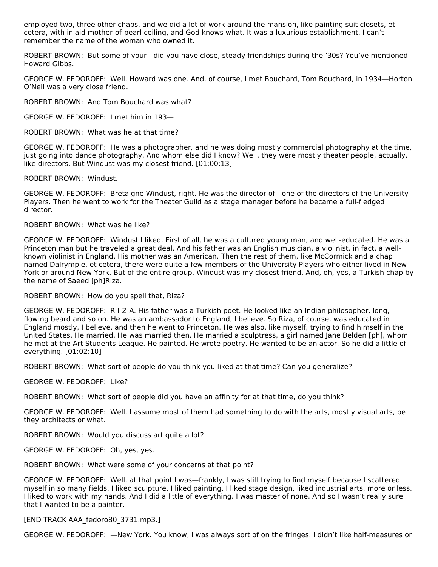employed two, three other chaps, and we did a lot of work around the mansion, like painting suit closets, et cetera, with inlaid mother-of-pearl ceiling, and God knows what. It was a luxurious establishment. I can't remember the name of the woman who owned it.

ROBERT BROWN: But some of your—did you have close, steady friendships during the '30s? You've mentioned Howard Gibbs.

GEORGE W. FEDOROFF: Well, Howard was one. And, of course, I met Bouchard, Tom Bouchard, in 1934—Horton O'Neil was a very close friend.

ROBERT BROWN: And Tom Bouchard was what?

GEORGE W. FEDOROFF: I met him in 193—

ROBERT BROWN: What was he at that time?

GEORGE W. FEDOROFF: He was a photographer, and he was doing mostly commercial photography at the time, just going into dance photography. And whom else did I know? Well, they were mostly theater people, actually, like directors. But Windust was my closest friend. [01:00:13]

ROBERT BROWN: Windust.

GEORGE W. FEDOROFF: Bretaigne Windust, right. He was the director of—one of the directors of the University Players. Then he went to work for the Theater Guild as a stage manager before he became a full-fledged director.

# ROBERT BROWN: What was he like?

GEORGE W. FEDOROFF: Windust I liked. First of all, he was a cultured young man, and well-educated. He was a Princeton man but he traveled a great deal. And his father was an English musician, a violinist, in fact, a wellknown violinist in England. His mother was an American. Then the rest of them, like McCormick and a chap named Dalrymple, et cetera, there were quite a few members of the University Players who either lived in New York or around New York. But of the entire group, Windust was my closest friend. And, oh, yes, a Turkish chap by the name of Saeed [ph]Riza.

ROBERT BROWN: How do you spell that, Riza?

GEORGE W. FEDOROFF: R-I-Z-A. His father was a Turkish poet. He looked like an Indian philosopher, long, flowing beard and so on. He was an ambassador to England, I believe. So Riza, of course, was educated in England mostly, I believe, and then he went to Princeton. He was also, like myself, trying to find himself in the United States. He married. He was married then. He married a sculptress, a girl named Jane Belden [ph], whom he met at the Art Students League. He painted. He wrote poetry. He wanted to be an actor. So he did a little of everything. [01:02:10]

ROBERT BROWN: What sort of people do you think you liked at that time? Can you generalize?

GEORGE W. FEDOROFF: Like?

ROBERT BROWN: What sort of people did you have an affinity for at that time, do you think?

GEORGE W. FEDOROFF: Well, I assume most of them had something to do with the arts, mostly visual arts, be they architects or what.

ROBERT BROWN: Would you discuss art quite a lot?

GEORGE W. FEDOROFF: Oh, yes, yes.

ROBERT BROWN: What were some of your concerns at that point?

GEORGE W. FEDOROFF: Well, at that point I was—frankly, I was still trying to find myself because I scattered myself in so many fields. I liked sculpture, I liked painting, I liked stage design, liked industrial arts, more or less. I liked to work with my hands. And I did a little of everything. I was master of none. And so I wasn't really sure that I wanted to be a painter.

[END TRACK AAA\_fedoro80\_3731.mp3.]

GEORGE W. FEDOROFF: —New York. You know, I was always sort of on the fringes. I didn't like half-measures or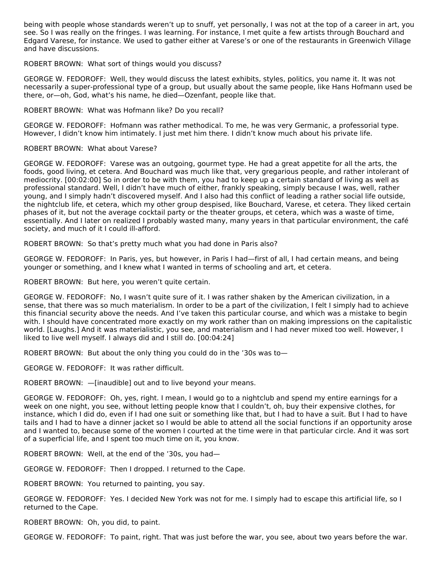being with people whose standards weren't up to snuff, yet personally, I was not at the top of a career in art, you see. So I was really on the fringes. I was learning. For instance, I met quite a few artists through Bouchard and Edgard Varese, for instance. We used to gather either at Varese's or one of the restaurants in Greenwich Village and have discussions.

#### ROBERT BROWN: What sort of things would you discuss?

GEORGE W. FEDOROFF: Well, they would discuss the latest exhibits, styles, politics, you name it. It was not necessarily a super-professional type of a group, but usually about the same people, like Hans Hofmann used be there, or—oh, God, what's his name, he died—Ozenfant, people like that.

#### ROBERT BROWN: What was Hofmann like? Do you recall?

GEORGE W. FEDOROFF: Hofmann was rather methodical. To me, he was very Germanic, a professorial type. However, I didn't know him intimately. I just met him there. I didn't know much about his private life.

#### ROBERT BROWN: What about Varese?

GEORGE W. FEDOROFF: Varese was an outgoing, gourmet type. He had a great appetite for all the arts, the foods, good living, et cetera. And Bouchard was much like that, very gregarious people, and rather intolerant of mediocrity. [00:02:00] So in order to be with them, you had to keep up a certain standard of living as well as professional standard. Well, I didn't have much of either, frankly speaking, simply because I was, well, rather young, and I simply hadn't discovered myself. And I also had this conflict of leading a rather social life outside, the nightclub life, et cetera, which my other group despised, like Bouchard, Varese, et cetera. They liked certain phases of it, but not the average cocktail party or the theater groups, et cetera, which was a waste of time, essentially. And I later on realized I probably wasted many, many years in that particular environment, the café society, and much of it I could ill-afford.

ROBERT BROWN: So that's pretty much what you had done in Paris also?

GEORGE W. FEDOROFF: In Paris, yes, but however, in Paris I had—first of all, I had certain means, and being younger or something, and I knew what I wanted in terms of schooling and art, et cetera.

ROBERT BROWN: But here, you weren't quite certain.

GEORGE W. FEDOROFF: No, I wasn't quite sure of it. I was rather shaken by the American civilization, in a sense, that there was so much materialism. In order to be a part of the civilization, I felt I simply had to achieve this financial security above the needs. And I've taken this particular course, and which was a mistake to begin with. I should have concentrated more exactly on my work rather than on making impressions on the capitalistic world. [Laughs.] And it was materialistic, you see, and materialism and I had never mixed too well. However, I liked to live well myself. I always did and I still do. [00:04:24]

ROBERT BROWN: But about the only thing you could do in the '30s was to—

GEORGE W. FEDOROFF: It was rather difficult.

ROBERT BROWN: —[inaudible] out and to live beyond your means.

GEORGE W. FEDOROFF: Oh, yes, right. I mean, I would go to a nightclub and spend my entire earnings for a week on one night, you see, without letting people know that I couldn't, oh, buy their expensive clothes, for instance, which I did do, even if I had one suit or something like that, but I had to have a suit. But I had to have tails and I had to have a dinner jacket so I would be able to attend all the social functions if an opportunity arose and I wanted to, because some of the women I courted at the time were in that particular circle. And it was sort of a superficial life, and I spent too much time on it, you know.

ROBERT BROWN: Well, at the end of the '30s, you had—

GEORGE W. FEDOROFF: Then I dropped. I returned to the Cape.

ROBERT BROWN: You returned to painting, you say.

GEORGE W. FEDOROFF: Yes. I decided New York was not for me. I simply had to escape this artificial life, so I returned to the Cape.

ROBERT BROWN: Oh, you did, to paint.

GEORGE W. FEDOROFF: To paint, right. That was just before the war, you see, about two years before the war.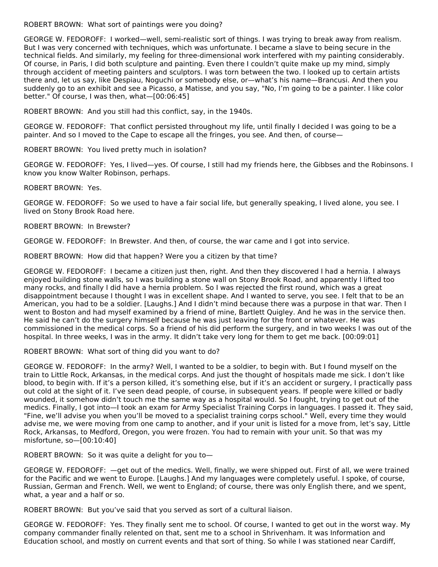ROBERT BROWN: What sort of paintings were you doing?

GEORGE W. FEDOROFF: I worked—well, semi-realistic sort of things. I was trying to break away from realism. But I was very concerned with techniques, which was unfortunate. I became a slave to being secure in the technical fields. And similarly, my feeling for three-dimensional work interfered with my painting considerably. Of course, in Paris, I did both sculpture and painting. Even there I couldn't quite make up my mind, simply through accident of meeting painters and sculptors. I was torn between the two. I looked up to certain artists there and, let us say, like Despiau, Noguchi or somebody else, or—what's his name—Brancusi. And then you suddenly go to an exhibit and see a Picasso, a Matisse, and you say, "No, I'm going to be a painter. I like color better." Of course, I was then, what—[00:06:45]

ROBERT BROWN: And you still had this conflict, say, in the 1940s.

GEORGE W. FEDOROFF: That conflict persisted throughout my life, until finally I decided I was going to be a painter. And so I moved to the Cape to escape all the fringes, you see. And then, of course—

ROBERT BROWN: You lived pretty much in isolation?

GEORGE W. FEDOROFF: Yes, I lived—yes. Of course, I still had my friends here, the Gibbses and the Robinsons. I know you know Walter Robinson, perhaps.

ROBERT BROWN: Yes.

GEORGE W. FEDOROFF: So we used to have a fair social life, but generally speaking, I lived alone, you see. I lived on Stony Brook Road here.

ROBERT BROWN: In Brewster?

GEORGE W. FEDOROFF: In Brewster. And then, of course, the war came and I got into service.

ROBERT BROWN: How did that happen? Were you a citizen by that time?

GEORGE W. FEDOROFF: I became a citizen just then, right. And then they discovered I had a hernia. I always enjoyed building stone walls, so I was building a stone wall on Stony Brook Road, and apparently I lifted too many rocks, and finally I did have a hernia problem. So I was rejected the first round, which was a great disappointment because I thought I was in excellent shape. And I wanted to serve, you see. I felt that to be an American, you had to be a soldier. [Laughs.] And I didn't mind because there was a purpose in that war. Then I went to Boston and had myself examined by a friend of mine, Bartlett Quigley. And he was in the service then. He said he can't do the surgery himself because he was just leaving for the front or whatever. He was commissioned in the medical corps. So a friend of his did perform the surgery, and in two weeks I was out of the hospital. In three weeks, I was in the army. It didn't take very long for them to get me back. [00:09:01]

ROBERT BROWN: What sort of thing did you want to do?

GEORGE W. FEDOROFF: In the army? Well, I wanted to be a soldier, to begin with. But I found myself on the train to Little Rock, Arkansas, in the medical corps. And just the thought of hospitals made me sick. I don't like blood, to begin with. If it's a person killed, it's something else, but if it's an accident or surgery, I practically pass out cold at the sight of it. I've seen dead people, of course, in subsequent years. If people were killed or badly wounded, it somehow didn't touch me the same way as a hospital would. So I fought, trying to get out of the medics. Finally, I got into—I took an exam for Army Specialist Training Corps in languages. I passed it. They said, "Fine, we'll advise you when you'll be moved to a specialist training corps school." Well, every time they would advise me, we were moving from one camp to another, and if your unit is listed for a move from, let's say, Little Rock, Arkansas, to Medford, Oregon, you were frozen. You had to remain with your unit. So that was my misfortune, so—[00:10:40]

ROBERT BROWN: So it was quite a delight for you to—

GEORGE W. FEDOROFF: —get out of the medics. Well, finally, we were shipped out. First of all, we were trained for the Pacific and we went to Europe. [Laughs.] And my languages were completely useful. I spoke, of course, Russian, German and French. Well, we went to England; of course, there was only English there, and we spent, what, a year and a half or so.

ROBERT BROWN: But you've said that you served as sort of a cultural liaison.

GEORGE W. FEDOROFF: Yes. They finally sent me to school. Of course, I wanted to get out in the worst way. My company commander finally relented on that, sent me to a school in Shrivenham. It was Information and Education school, and mostly on current events and that sort of thing. So while I was stationed near Cardiff,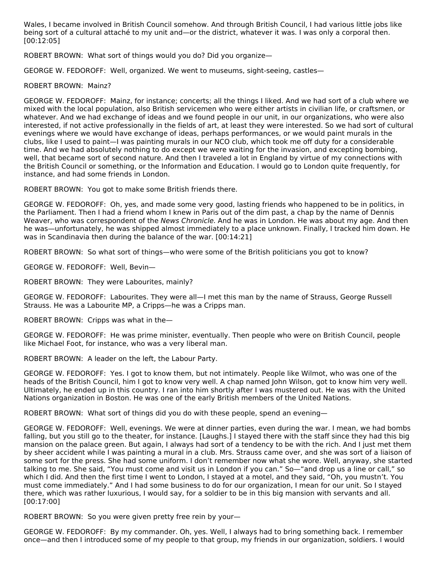Wales, I became involved in British Council somehow. And through British Council, I had various little jobs like being sort of a cultural attaché to my unit and—or the district, whatever it was. I was only a corporal then. [00:12:05]

ROBERT BROWN: What sort of things would you do? Did you organize—

GEORGE W. FEDOROFF: Well, organized. We went to museums, sight-seeing, castles—

# ROBERT BROWN: Mainz?

GEORGE W. FEDOROFF: Mainz, for instance; concerts; all the things I liked. And we had sort of a club where we mixed with the local population, also British servicemen who were either artists in civilian life, or craftsmen, or whatever. And we had exchange of ideas and we found people in our unit, in our organizations, who were also interested, if not active professionally in the fields of art, at least they were interested. So we had sort of cultural evenings where we would have exchange of ideas, perhaps performances, or we would paint murals in the clubs, like I used to paint—I was painting murals in our NCO club, which took me off duty for a considerable time. And we had absolutely nothing to do except we were waiting for the invasion, and excepting bombing, well, that became sort of second nature. And then I traveled a lot in England by virtue of my connections with the British Council or something, or the Information and Education. I would go to London quite frequently, for instance, and had some friends in London.

ROBERT BROWN: You got to make some British friends there.

GEORGE W. FEDOROFF: Oh, yes, and made some very good, lasting friends who happened to be in politics, in the Parliament. Then I had a friend whom I knew in Paris out of the dim past, a chap by the name of Dennis Weaver, who was correspondent of the News Chronicle. And he was in London. He was about my age. And then he was—unfortunately, he was shipped almost immediately to a place unknown. Finally, I tracked him down. He was in Scandinavia then during the balance of the war. [00:14:21]

ROBERT BROWN: So what sort of things—who were some of the British politicians you got to know?

GEORGE W. FEDOROFF: Well, Bevin—

ROBERT BROWN: They were Labourites, mainly?

GEORGE W. FEDOROFF: Labourites. They were all—I met this man by the name of Strauss, George Russell Strauss. He was a Labourite MP, a Cripps—he was a Cripps man.

ROBERT BROWN: Cripps was what in the—

GEORGE W. FEDOROFF: He was prime minister, eventually. Then people who were on British Council, people like Michael Foot, for instance, who was a very liberal man.

ROBERT BROWN: A leader on the left, the Labour Party.

GEORGE W. FEDOROFF: Yes. I got to know them, but not intimately. People like Wilmot, who was one of the heads of the British Council, him I got to know very well. A chap named John Wilson, got to know him very well. Ultimately, he ended up in this country. I ran into him shortly after I was mustered out. He was with the United Nations organization in Boston. He was one of the early British members of the United Nations.

ROBERT BROWN: What sort of things did you do with these people, spend an evening—

GEORGE W. FEDOROFF: Well, evenings. We were at dinner parties, even during the war. I mean, we had bombs falling, but you still go to the theater, for instance. [Laughs.] I stayed there with the staff since they had this big mansion on the palace green. But again, I always had sort of a tendency to be with the rich. And I just met them by sheer accident while I was painting a mural in a club. Mrs. Strauss came over, and she was sort of a liaison of some sort for the press. She had some uniform. I don't remember now what she wore. Well, anyway, she started talking to me. She said, "You must come and visit us in London if you can." So—"and drop us a line or call," so which I did. And then the first time I went to London, I stayed at a motel, and they said, "Oh, you mustn't. You must come immediately." And I had some business to do for our organization, I mean for our unit. So I stayed there, which was rather luxurious, I would say, for a soldier to be in this big mansion with servants and all. [00:17:00]

ROBERT BROWN: So you were given pretty free rein by your—

GEORGE W. FEDOROFF: By my commander. Oh, yes. Well, I always had to bring something back. I remember once—and then I introduced some of my people to that group, my friends in our organization, soldiers. I would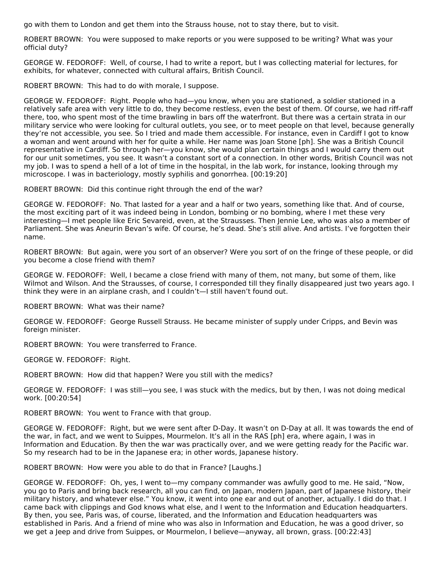go with them to London and get them into the Strauss house, not to stay there, but to visit.

ROBERT BROWN: You were supposed to make reports or you were supposed to be writing? What was your official duty?

GEORGE W. FEDOROFF: Well, of course, I had to write a report, but I was collecting material for lectures, for exhibits, for whatever, connected with cultural affairs, British Council.

ROBERT BROWN: This had to do with morale, I suppose.

GEORGE W. FEDOROFF: Right. People who had—you know, when you are stationed, a soldier stationed in a relatively safe area with very little to do, they become restless, even the best of them. Of course, we had riff-raff there, too, who spent most of the time brawling in bars off the waterfront. But there was a certain strata in our military service who were looking for cultural outlets, you see, or to meet people on that level, because generally they're not accessible, you see. So I tried and made them accessible. For instance, even in Cardiff I got to know a woman and went around with her for quite a while. Her name was Joan Stone [ph]. She was a British Council representative in Cardiff. So through her—you know, she would plan certain things and I would carry them out for our unit sometimes, you see. It wasn't a constant sort of a connection. In other words, British Council was not my job. I was to spend a hell of a lot of time in the hospital, in the lab work, for instance, looking through my microscope. I was in bacteriology, mostly syphilis and gonorrhea. [00:19:20]

ROBERT BROWN: Did this continue right through the end of the war?

GEORGE W. FEDOROFF: No. That lasted for a year and a half or two years, something like that. And of course, the most exciting part of it was indeed being in London, bombing or no bombing, where I met these very interesting—I met people like Eric Sevareid, even, at the Strausses. Then Jennie Lee, who was also a member of Parliament. She was Aneurin Bevan's wife. Of course, he's dead. She's still alive. And artists. I've forgotten their name.

ROBERT BROWN: But again, were you sort of an observer? Were you sort of on the fringe of these people, or did you become a close friend with them?

GEORGE W. FEDOROFF: Well, I became a close friend with many of them, not many, but some of them, like Wilmot and Wilson. And the Strausses, of course, I corresponded till they finally disappeared just two years ago. I think they were in an airplane crash, and I couldn't—I still haven't found out.

ROBERT BROWN: What was their name?

GEORGE W. FEDOROFF: George Russell Strauss. He became minister of supply under Cripps, and Bevin was foreign minister.

ROBERT BROWN: You were transferred to France.

GEORGE W. FEDOROFF: Right.

ROBERT BROWN: How did that happen? Were you still with the medics?

GEORGE W. FEDOROFF: I was still—you see, I was stuck with the medics, but by then, I was not doing medical work. [00:20:54]

ROBERT BROWN: You went to France with that group.

GEORGE W. FEDOROFF: Right, but we were sent after D-Day. It wasn't on D-Day at all. It was towards the end of the war, in fact, and we went to Suippes, Mourmelon. It's all in the RAS [ph] era, where again, I was in Information and Education. By then the war was practically over, and we were getting ready for the Pacific war. So my research had to be in the Japanese era; in other words, Japanese history.

ROBERT BROWN: How were you able to do that in France? [Laughs.]

GEORGE W. FEDOROFF: Oh, yes, I went to—my company commander was awfully good to me. He said, "Now, you go to Paris and bring back research, all you can find, on Japan, modern Japan, part of Japanese history, their military history, and whatever else." You know, it went into one ear and out of another, actually. I did do that. I came back with clippings and God knows what else, and I went to the Information and Education headquarters. By then, you see, Paris was, of course, liberated, and the Information and Education headquarters was established in Paris. And a friend of mine who was also in Information and Education, he was a good driver, so we get a Jeep and drive from Suippes, or Mourmelon, I believe—anyway, all brown, grass. [00:22:43]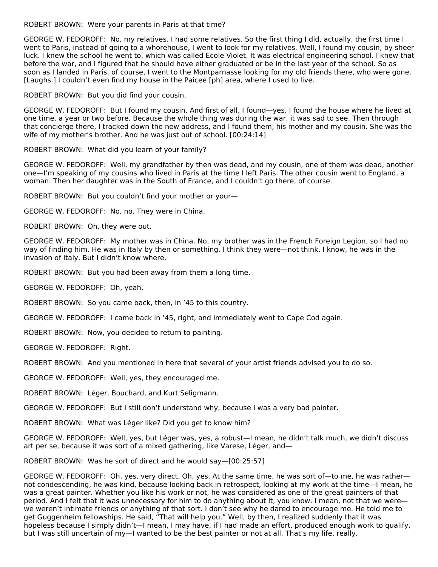ROBERT BROWN: Were your parents in Paris at that time?

GEORGE W. FEDOROFF: No, my relatives. I had some relatives. So the first thing I did, actually, the first time I went to Paris, instead of going to a whorehouse, I went to look for my relatives. Well, I found my cousin, by sheer luck. I knew the school he went to, which was called Ecole Violet. It was electrical engineering school. I knew that before the war, and I figured that he should have either graduated or be in the last year of the school. So as soon as I landed in Paris, of course, I went to the Montparnasse looking for my old friends there, who were gone. [Laughs.] I couldn't even find my house in the Paicee [ph] area, where I used to live.

ROBERT BROWN: But you did find your cousin.

GEORGE W. FEDOROFF: But I found my cousin. And first of all, I found—yes, I found the house where he lived at one time, a year or two before. Because the whole thing was during the war, it was sad to see. Then through that concierge there, I tracked down the new address, and I found them, his mother and my cousin. She was the wife of my mother's brother. And he was just out of school. [00:24:14]

ROBERT BROWN: What did you learn of your family?

GEORGE W. FEDOROFF: Well, my grandfather by then was dead, and my cousin, one of them was dead, another one—I'm speaking of my cousins who lived in Paris at the time I left Paris. The other cousin went to England, a woman. Then her daughter was in the South of France, and I couldn't go there, of course.

ROBERT BROWN: But you couldn't find your mother or your—

GEORGE W. FEDOROFF: No, no. They were in China.

ROBERT BROWN: Oh, they were out.

GEORGE W. FEDOROFF: My mother was in China. No, my brother was in the French Foreign Legion, so I had no way of finding him. He was in Italy by then or something. I think they were—not think, I know, he was in the invasion of Italy. But I didn't know where.

ROBERT BROWN: But you had been away from them a long time.

GEORGE W. FEDOROFF: Oh, yeah.

ROBERT BROWN: So you came back, then, in '45 to this country.

GEORGE W. FEDOROFF: I came back in '45, right, and immediately went to Cape Cod again.

ROBERT BROWN: Now, you decided to return to painting.

GEORGE W. FEDOROFF: Right.

ROBERT BROWN: And you mentioned in here that several of your artist friends advised you to do so.

GEORGE W. FEDOROFF: Well, yes, they encouraged me.

ROBERT BROWN: Léger, Bouchard, and Kurt Seligmann.

GEORGE W. FEDOROFF: But I still don't understand why, because I was a very bad painter.

ROBERT BROWN: What was Léger like? Did you get to know him?

GEORGE W. FEDOROFF: Well, yes, but Léger was, yes, a robust—I mean, he didn't talk much, we didn't discuss art per se, because it was sort of a mixed gathering, like Varese, Léger, and—

ROBERT BROWN: Was he sort of direct and he would say—[00:25:57]

GEORGE W. FEDOROFF: Oh, yes, very direct. Oh, yes. At the same time, he was sort of—to me, he was rather not condescending, he was kind, because looking back in retrospect, looking at my work at the time—I mean, he was a great painter. Whether you like his work or not, he was considered as one of the great painters of that period. And I felt that it was unnecessary for him to do anything about it, you know. I mean, not that we were we weren't intimate friends or anything of that sort. I don't see why he dared to encourage me. He told me to get Guggenheim fellowships. He said, "That will help you." Well, by then, I realized suddenly that it was hopeless because I simply didn't—I mean, I may have, if I had made an effort, produced enough work to qualify, but I was still uncertain of my—I wanted to be the best painter or not at all. That's my life, really.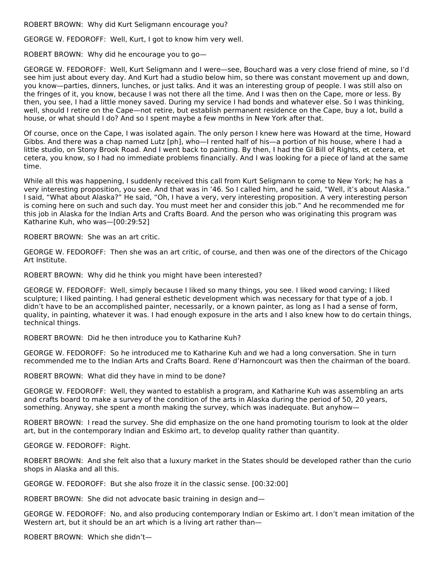ROBERT BROWN: Why did Kurt Seligmann encourage you?

GEORGE W. FEDOROFF: Well, Kurt, I got to know him very well.

ROBERT BROWN: Why did he encourage you to go—

GEORGE W. FEDOROFF: Well, Kurt Seligmann and I were—see, Bouchard was a very close friend of mine, so I'd see him just about every day. And Kurt had a studio below him, so there was constant movement up and down, you know—parties, dinners, lunches, or just talks. And it was an interesting group of people. I was still also on the fringes of it, you know, because I was not there all the time. And I was then on the Cape, more or less. By then, you see, I had a little money saved. During my service I had bonds and whatever else. So I was thinking, well, should I retire on the Cape—not retire, but establish permanent residence on the Cape, buy a lot, build a house, or what should I do? And so I spent maybe a few months in New York after that.

Of course, once on the Cape, I was isolated again. The only person I knew here was Howard at the time, Howard Gibbs. And there was a chap named Lutz [ph], who—I rented half of his—a portion of his house, where I had a little studio, on Stony Brook Road. And I went back to painting. By then, I had the GI Bill of Rights, et cetera, et cetera, you know, so I had no immediate problems financially. And I was looking for a piece of land at the same time.

While all this was happening, I suddenly received this call from Kurt Seligmann to come to New York; he has a very interesting proposition, you see. And that was in '46. So I called him, and he said, "Well, it's about Alaska." I said, "What about Alaska?" He said, "Oh, I have a very, very interesting proposition. A very interesting person is coming here on such and such day. You must meet her and consider this job." And he recommended me for this job in Alaska for the Indian Arts and Crafts Board. And the person who was originating this program was Katharine Kuh, who was—[00:29:52]

ROBERT BROWN: She was an art critic.

GEORGE W. FEDOROFF: Then she was an art critic, of course, and then was one of the directors of the Chicago Art Institute.

ROBERT BROWN: Why did he think you might have been interested?

GEORGE W. FEDOROFF: Well, simply because I liked so many things, you see. I liked wood carving; I liked sculpture; I liked painting. I had general esthetic development which was necessary for that type of a job. I didn't have to be an accomplished painter, necessarily, or a known painter, as long as I had a sense of form, quality, in painting, whatever it was. I had enough exposure in the arts and I also knew how to do certain things, technical things.

ROBERT BROWN: Did he then introduce you to Katharine Kuh?

GEORGE W. FEDOROFF: So he introduced me to Katharine Kuh and we had a long conversation. She in turn recommended me to the Indian Arts and Crafts Board. Rene d'Harnoncourt was then the chairman of the board.

ROBERT BROWN: What did they have in mind to be done?

GEORGE W. FEDOROFF: Well, they wanted to establish a program, and Katharine Kuh was assembling an arts and crafts board to make a survey of the condition of the arts in Alaska during the period of 50, 20 years, something. Anyway, she spent a month making the survey, which was inadequate. But anyhow—

ROBERT BROWN: I read the survey. She did emphasize on the one hand promoting tourism to look at the older art, but in the contemporary Indian and Eskimo art, to develop quality rather than quantity.

GEORGE W. FEDOROFF: Right.

ROBERT BROWN: And she felt also that a luxury market in the States should be developed rather than the curio shops in Alaska and all this.

GEORGE W. FEDOROFF: But she also froze it in the classic sense. [00:32:00]

ROBERT BROWN: She did not advocate basic training in design and—

GEORGE W. FEDOROFF: No, and also producing contemporary Indian or Eskimo art. I don't mean imitation of the Western art, but it should be an art which is a living art rather than—

ROBERT BROWN: Which she didn't—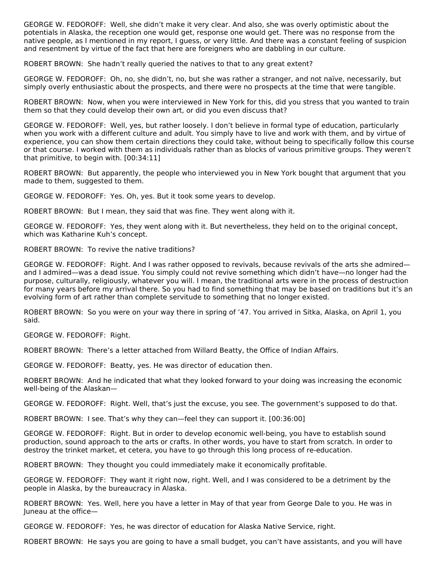GEORGE W. FEDOROFF: Well, she didn't make it very clear. And also, she was overly optimistic about the potentials in Alaska, the reception one would get, response one would get. There was no response from the native people, as I mentioned in my report, I guess, or very little. And there was a constant feeling of suspicion and resentment by virtue of the fact that here are foreigners who are dabbling in our culture.

ROBERT BROWN: She hadn't really queried the natives to that to any great extent?

GEORGE W. FEDOROFF: Oh, no, she didn't, no, but she was rather a stranger, and not naïve, necessarily, but simply overly enthusiastic about the prospects, and there were no prospects at the time that were tangible.

ROBERT BROWN: Now, when you were interviewed in New York for this, did you stress that you wanted to train them so that they could develop their own art, or did you even discuss that?

GEORGE W. FEDOROFF: Well, yes, but rather loosely. I don't believe in formal type of education, particularly when you work with a different culture and adult. You simply have to live and work with them, and by virtue of experience, you can show them certain directions they could take, without being to specifically follow this course or that course. I worked with them as individuals rather than as blocks of various primitive groups. They weren't that primitive, to begin with. [00:34:11]

ROBERT BROWN: But apparently, the people who interviewed you in New York bought that argument that you made to them, suggested to them.

GEORGE W. FEDOROFF: Yes. Oh, yes. But it took some years to develop.

ROBERT BROWN: But I mean, they said that was fine. They went along with it.

GEORGE W. FEDOROFF: Yes, they went along with it. But nevertheless, they held on to the original concept, which was Katharine Kuh's concept.

ROBERT BROWN: To revive the native traditions?

GEORGE W. FEDOROFF: Right. And I was rather opposed to revivals, because revivals of the arts she admired and I admired—was a dead issue. You simply could not revive something which didn't have—no longer had the purpose, culturally, religiously, whatever you will. I mean, the traditional arts were in the process of destruction for many years before my arrival there. So you had to find something that may be based on traditions but it's an evolving form of art rather than complete servitude to something that no longer existed.

ROBERT BROWN: So you were on your way there in spring of '47. You arrived in Sitka, Alaska, on April 1, you said.

GEORGE W. FEDOROFF: Right.

ROBERT BROWN: There's a letter attached from Willard Beatty, the Office of Indian Affairs.

GEORGE W. FEDOROFF: Beatty, yes. He was director of education then.

ROBERT BROWN: And he indicated that what they looked forward to your doing was increasing the economic well-being of the Alaskan—

GEORGE W. FEDOROFF: Right. Well, that's just the excuse, you see. The government's supposed to do that.

ROBERT BROWN: I see. That's why they can—feel they can support it. [00:36:00]

GEORGE W. FEDOROFF: Right. But in order to develop economic well-being, you have to establish sound production, sound approach to the arts or crafts. In other words, you have to start from scratch. In order to destroy the trinket market, et cetera, you have to go through this long process of re-education.

ROBERT BROWN: They thought you could immediately make it economically profitable.

GEORGE W. FEDOROFF: They want it right now, right. Well, and I was considered to be a detriment by the people in Alaska, by the bureaucracy in Alaska.

ROBERT BROWN: Yes. Well, here you have a letter in May of that year from George Dale to you. He was in Juneau at the office—

GEORGE W. FEDOROFF: Yes, he was director of education for Alaska Native Service, right.

ROBERT BROWN: He says you are going to have a small budget, you can't have assistants, and you will have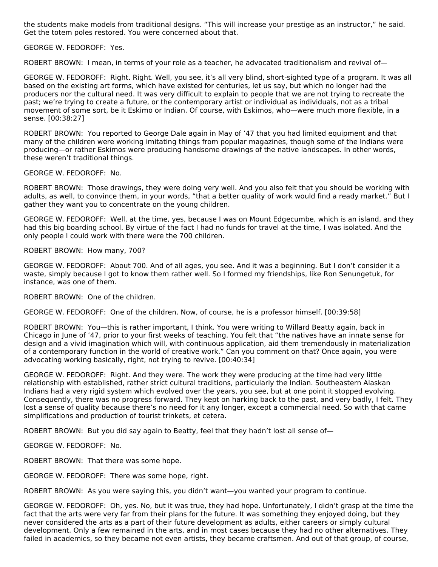the students make models from traditional designs. "This will increase your prestige as an instructor," he said. Get the totem poles restored. You were concerned about that.

GEORGE W. FEDOROFF: Yes.

ROBERT BROWN: I mean, in terms of your role as a teacher, he advocated traditionalism and revival of—

GEORGE W. FEDOROFF: Right. Right. Well, you see, it's all very blind, short-sighted type of a program. It was all based on the existing art forms, which have existed for centuries, let us say, but which no longer had the producers nor the cultural need. It was very difficult to explain to people that we are not trying to recreate the past; we're trying to create a future, or the contemporary artist or individual as individuals, not as a tribal movement of some sort, be it Eskimo or Indian. Of course, with Eskimos, who—were much more flexible, in a sense. [00:38:27]

ROBERT BROWN: You reported to George Dale again in May of '47 that you had limited equipment and that many of the children were working imitating things from popular magazines, though some of the Indians were producing—or rather Eskimos were producing handsome drawings of the native landscapes. In other words, these weren't traditional things.

GEORGE W. FEDOROFF: No.

ROBERT BROWN: Those drawings, they were doing very well. And you also felt that you should be working with adults, as well, to convince them, in your words, "that a better quality of work would find a ready market." But I gather they want you to concentrate on the young children.

GEORGE W. FEDOROFF: Well, at the time, yes, because I was on Mount Edgecumbe, which is an island, and they had this big boarding school. By virtue of the fact I had no funds for travel at the time, I was isolated. And the only people I could work with there were the 700 children.

ROBERT BROWN: How many, 700?

GEORGE W. FEDOROFF: About 700. And of all ages, you see. And it was a beginning. But I don't consider it a waste, simply because I got to know them rather well. So I formed my friendships, like Ron Senungetuk, for instance, was one of them.

ROBERT BROWN: One of the children.

GEORGE W. FEDOROFF: One of the children. Now, of course, he is a professor himself. [00:39:58]

ROBERT BROWN: You—this is rather important, I think. You were writing to Willard Beatty again, back in Chicago in June of '47, prior to your first weeks of teaching. You felt that "the natives have an innate sense for design and a vivid imagination which will, with continuous application, aid them tremendously in materialization of a contemporary function in the world of creative work." Can you comment on that? Once again, you were advocating working basically, right, not trying to revive. [00:40:34]

GEORGE W. FEDOROFF: Right. And they were. The work they were producing at the time had very little relationship with established, rather strict cultural traditions, particularly the Indian. Southeastern Alaskan Indians had a very rigid system which evolved over the years, you see, but at one point it stopped evolving. Consequently, there was no progress forward. They kept on harking back to the past, and very badly, I felt. They lost a sense of quality because there's no need for it any longer, except a commercial need. So with that came simplifications and production of tourist trinkets, et cetera.

ROBERT BROWN: But you did say again to Beatty, feel that they hadn't lost all sense of—

GEORGE W. FEDOROFF: No.

ROBERT BROWN: That there was some hope.

GEORGE W. FEDOROFF: There was some hope, right.

ROBERT BROWN: As you were saying this, you didn't want—you wanted your program to continue.

GEORGE W. FEDOROFF: Oh, yes. No, but it was true, they had hope. Unfortunately, I didn't grasp at the time the fact that the arts were very far from their plans for the future. It was something they enjoyed doing, but they never considered the arts as a part of their future development as adults, either careers or simply cultural development. Only a few remained in the arts, and in most cases because they had no other alternatives. They failed in academics, so they became not even artists, they became craftsmen. And out of that group, of course,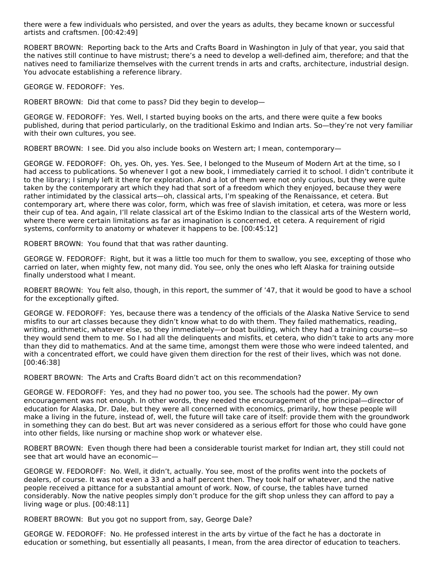there were a few individuals who persisted, and over the years as adults, they became known or successful artists and craftsmen. [00:42:49]

ROBERT BROWN: Reporting back to the Arts and Crafts Board in Washington in July of that year, you said that the natives still continue to have mistrust; there's a need to develop a well-defined aim, therefore; and that the natives need to familiarize themselves with the current trends in arts and crafts, architecture, industrial design. You advocate establishing a reference library.

GEORGE W. FEDOROFF: Yes.

ROBERT BROWN: Did that come to pass? Did they begin to develop—

GEORGE W. FEDOROFF: Yes. Well, I started buying books on the arts, and there were quite a few books published, during that period particularly, on the traditional Eskimo and Indian arts. So—they're not very familiar with their own cultures, you see.

ROBERT BROWN: I see. Did you also include books on Western art; I mean, contemporary—

GEORGE W. FEDOROFF: Oh, yes. Oh, yes. Yes. See, I belonged to the Museum of Modern Art at the time, so I had access to publications. So whenever I got a new book, I immediately carried it to school. I didn't contribute it to the library; I simply left it there for exploration. And a lot of them were not only curious, but they were quite taken by the contemporary art which they had that sort of a freedom which they enjoyed, because they were rather intimidated by the classical arts—oh, classical arts, I'm speaking of the Renaissance, et cetera. But contemporary art, where there was color, form, which was free of slavish imitation, et cetera, was more or less their cup of tea. And again, I'll relate classical art of the Eskimo Indian to the classical arts of the Western world, where there were certain limitations as far as imagination is concerned, et cetera. A requirement of rigid systems, conformity to anatomy or whatever it happens to be. [00:45:12]

ROBERT BROWN: You found that that was rather daunting.

GEORGE W. FEDOROFF: Right, but it was a little too much for them to swallow, you see, excepting of those who carried on later, when mighty few, not many did. You see, only the ones who left Alaska for training outside finally understood what I meant.

ROBERT BROWN: You felt also, though, in this report, the summer of '47, that it would be good to have a school for the exceptionally gifted.

GEORGE W. FEDOROFF: Yes, because there was a tendency of the officials of the Alaska Native Service to send misfits to our art classes because they didn't know what to do with them. They failed mathematics, reading, writing, arithmetic, whatever else, so they immediately—or boat building, which they had a training course—so they would send them to me. So I had all the delinquents and misfits, et cetera, who didn't take to arts any more than they did to mathematics. And at the same time, amongst them were those who were indeed talented, and with a concentrated effort, we could have given them direction for the rest of their lives, which was not done. [00:46:38]

ROBERT BROWN: The Arts and Crafts Board didn't act on this recommendation?

GEORGE W. FEDOROFF: Yes, and they had no power too, you see. The schools had the power. My own encouragement was not enough. In other words, they needed the encouragement of the principal—director of education for Alaska, Dr. Dale, but they were all concerned with economics, primarily, how these people will make a living in the future, instead of, well, the future will take care of itself: provide them with the groundwork in something they can do best. But art was never considered as a serious effort for those who could have gone into other fields, like nursing or machine shop work or whatever else.

ROBERT BROWN: Even though there had been a considerable tourist market for Indian art, they still could not see that art would have an economic—

GEORGE W. FEDOROFF: No. Well, it didn't, actually. You see, most of the profits went into the pockets of dealers, of course. It was not even a 33 and a half percent then. They took half or whatever, and the native people received a pittance for a substantial amount of work. Now, of course, the tables have turned considerably. Now the native peoples simply don't produce for the gift shop unless they can afford to pay a living wage or plus. [00:48:11]

ROBERT BROWN: But you got no support from, say, George Dale?

GEORGE W. FEDOROFF: No. He professed interest in the arts by virtue of the fact he has a doctorate in education or something, but essentially all peasants, I mean, from the area director of education to teachers.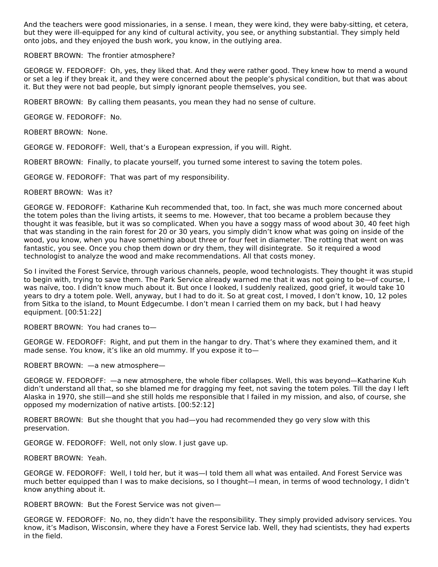And the teachers were good missionaries, in a sense. I mean, they were kind, they were baby-sitting, et cetera, but they were ill-equipped for any kind of cultural activity, you see, or anything substantial. They simply held onto jobs, and they enjoyed the bush work, you know, in the outlying area.

#### ROBERT BROWN: The frontier atmosphere?

GEORGE W. FEDOROFF: Oh, yes, they liked that. And they were rather good. They knew how to mend a wound or set a leg if they break it, and they were concerned about the people's physical condition, but that was about it. But they were not bad people, but simply ignorant people themselves, you see.

ROBERT BROWN: By calling them peasants, you mean they had no sense of culture.

GEORGE W. FEDOROFF: No.

ROBERT BROWN: None.

GEORGE W. FEDOROFF: Well, that's a European expression, if you will. Right.

ROBERT BROWN: Finally, to placate yourself, you turned some interest to saving the totem poles.

GEORGE W. FEDOROFF: That was part of my responsibility.

#### ROBERT BROWN: Was it?

GEORGE W. FEDOROFF: Katharine Kuh recommended that, too. In fact, she was much more concerned about the totem poles than the living artists, it seems to me. However, that too became a problem because they thought it was feasible, but it was so complicated. When you have a soggy mass of wood about 30, 40 feet high that was standing in the rain forest for 20 or 30 years, you simply didn't know what was going on inside of the wood, you know, when you have something about three or four feet in diameter. The rotting that went on was fantastic, you see. Once you chop them down or dry them, they will disintegrate. So it required a wood technologist to analyze the wood and make recommendations. All that costs money.

So I invited the Forest Service, through various channels, people, wood technologists. They thought it was stupid to begin with, trying to save them. The Park Service already warned me that it was not going to be—of course, I was naïve, too. I didn't know much about it. But once I looked, I suddenly realized, good grief, it would take 10 years to dry a totem pole. Well, anyway, but I had to do it. So at great cost, I moved, I don't know, 10, 12 poles from Sitka to the island, to Mount Edgecumbe. I don't mean I carried them on my back, but I had heavy equipment. [00:51:22]

ROBERT BROWN: You had cranes to—

GEORGE W. FEDOROFF: Right, and put them in the hangar to dry. That's where they examined them, and it made sense. You know, it's like an old mummy. If you expose it to—

ROBERT BROWN: —a new atmosphere—

GEORGE W. FEDOROFF: —a new atmosphere, the whole fiber collapses. Well, this was beyond—Katharine Kuh didn't understand all that, so she blamed me for dragging my feet, not saving the totem poles. Till the day I left Alaska in 1970, she still—and she still holds me responsible that I failed in my mission, and also, of course, she opposed my modernization of native artists. [00:52:12]

ROBERT BROWN: But she thought that you had—you had recommended they go very slow with this preservation.

GEORGE W. FEDOROFF: Well, not only slow. I just gave up.

ROBERT BROWN: Yeah.

GEORGE W. FEDOROFF: Well, I told her, but it was—I told them all what was entailed. And Forest Service was much better equipped than I was to make decisions, so I thought—I mean, in terms of wood technology, I didn't know anything about it.

ROBERT BROWN: But the Forest Service was not given—

GEORGE W. FEDOROFF: No, no, they didn't have the responsibility. They simply provided advisory services. You know, it's Madison, Wisconsin, where they have a Forest Service lab. Well, they had scientists, they had experts in the field.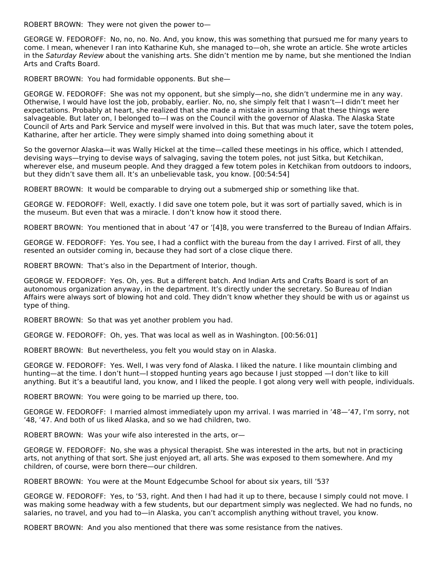ROBERT BROWN: They were not given the power to—

GEORGE W. FEDOROFF: No, no, no. No. And, you know, this was something that pursued me for many years to come. I mean, whenever I ran into Katharine Kuh, she managed to—oh, she wrote an article. She wrote articles in the Saturday Review about the vanishing arts. She didn't mention me by name, but she mentioned the Indian Arts and Crafts Board.

ROBERT BROWN: You had formidable opponents. But she—

GEORGE W. FEDOROFF: She was not my opponent, but she simply—no, she didn't undermine me in any way. Otherwise, I would have lost the job, probably, earlier. No, no, she simply felt that I wasn't—I didn't meet her expectations. Probably at heart, she realized that she made a mistake in assuming that these things were salvageable. But later on, I belonged to—I was on the Council with the governor of Alaska. The Alaska State Council of Arts and Park Service and myself were involved in this. But that was much later, save the totem poles, Katharine, after her article. They were simply shamed into doing something about it

So the governor Alaska—it was Wally Hickel at the time—called these meetings in his office, which I attended, devising ways—trying to devise ways of salvaging, saving the totem poles, not just Sitka, but Ketchikan, wherever else, and museum people. And they dragged a few totem poles in Ketchikan from outdoors to indoors, but they didn't save them all. It's an unbelievable task, you know. [00:54:54]

ROBERT BROWN: It would be comparable to drying out a submerged ship or something like that.

GEORGE W. FEDOROFF: Well, exactly. I did save one totem pole, but it was sort of partially saved, which is in the museum. But even that was a miracle. I don't know how it stood there.

ROBERT BROWN: You mentioned that in about '47 or '[4]8, you were transferred to the Bureau of Indian Affairs.

GEORGE W. FEDOROFF: Yes. You see, I had a conflict with the bureau from the day I arrived. First of all, they resented an outsider coming in, because they had sort of a close clique there.

ROBERT BROWN: That's also in the Department of Interior, though.

GEORGE W. FEDOROFF: Yes. Oh, yes. But a different batch. And Indian Arts and Crafts Board is sort of an autonomous organization anyway, in the department. It's directly under the secretary. So Bureau of Indian Affairs were always sort of blowing hot and cold. They didn't know whether they should be with us or against us type of thing.

ROBERT BROWN: So that was yet another problem you had.

GEORGE W. FEDOROFF: Oh, yes. That was local as well as in Washington. [00:56:01]

ROBERT BROWN: But nevertheless, you felt you would stay on in Alaska.

GEORGE W. FEDOROFF: Yes. Well, I was very fond of Alaska. I liked the nature. I like mountain climbing and hunting—at the time. I don't hunt—I stopped hunting years ago because I just stopped —I don't like to kill anything. But it's a beautiful land, you know, and I liked the people. I got along very well with people, individuals.

ROBERT BROWN: You were going to be married up there, too.

GEORGE W. FEDOROFF: I married almost immediately upon my arrival. I was married in '48—'47, I'm sorry, not '48, '47. And both of us liked Alaska, and so we had children, two.

ROBERT BROWN: Was your wife also interested in the arts, or—

GEORGE W. FEDOROFF: No, she was a physical therapist. She was interested in the arts, but not in practicing arts, not anything of that sort. She just enjoyed art, all arts. She was exposed to them somewhere. And my children, of course, were born there—our children.

ROBERT BROWN: You were at the Mount Edgecumbe School for about six years, till '53?

GEORGE W. FEDOROFF: Yes, to '53, right. And then I had had it up to there, because I simply could not move. I was making some headway with a few students, but our department simply was neglected. We had no funds, no salaries, no travel, and you had to—in Alaska, you can't accomplish anything without travel, you know.

ROBERT BROWN: And you also mentioned that there was some resistance from the natives.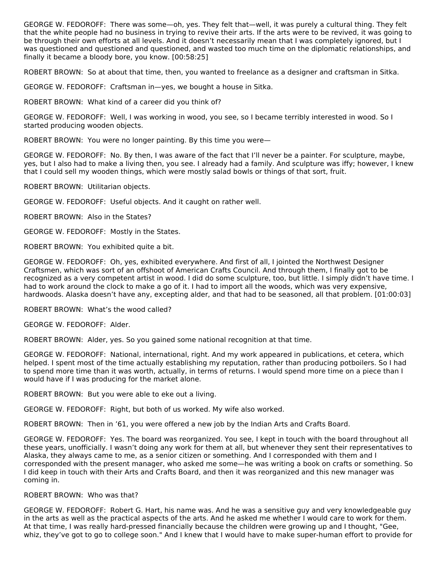GEORGE W. FEDOROFF: There was some—oh, yes. They felt that—well, it was purely a cultural thing. They felt that the white people had no business in trying to revive their arts. If the arts were to be revived, it was going to be through their own efforts at all levels. And it doesn't necessarily mean that I was completely ignored, but I was questioned and questioned and questioned, and wasted too much time on the diplomatic relationships, and finally it became a bloody bore, you know. [00:58:25]

ROBERT BROWN: So at about that time, then, you wanted to freelance as a designer and craftsman in Sitka.

GEORGE W. FEDOROFF: Craftsman in—yes, we bought a house in Sitka.

ROBERT BROWN: What kind of a career did you think of?

GEORGE W. FEDOROFF: Well, I was working in wood, you see, so I became terribly interested in wood. So I started producing wooden objects.

ROBERT BROWN: You were no longer painting. By this time you were—

GEORGE W. FEDOROFF: No. By then, I was aware of the fact that I'll never be a painter. For sculpture, maybe, yes, but I also had to make a living then, you see. I already had a family. And sculpture was iffy; however, I knew that I could sell my wooden things, which were mostly salad bowls or things of that sort, fruit.

ROBERT BROWN: Utilitarian objects.

GEORGE W. FEDOROFF: Useful objects. And it caught on rather well.

ROBERT BROWN: Also in the States?

GEORGE W. FEDOROFF: Mostly in the States.

ROBERT BROWN: You exhibited quite a bit.

GEORGE W. FEDOROFF: Oh, yes, exhibited everywhere. And first of all, I jointed the Northwest Designer Craftsmen, which was sort of an offshoot of American Crafts Council. And through them, I finally got to be recognized as a very competent artist in wood. I did do some sculpture, too, but little. I simply didn't have time. I had to work around the clock to make a go of it. I had to import all the woods, which was very expensive, hardwoods. Alaska doesn't have any, excepting alder, and that had to be seasoned, all that problem. [01:00:03]

ROBERT BROWN: What's the wood called?

GEORGE W. FEDOROFF: Alder.

ROBERT BROWN: Alder, yes. So you gained some national recognition at that time.

GEORGE W. FEDOROFF: National, international, right. And my work appeared in publications, et cetera, which helped. I spent most of the time actually establishing my reputation, rather than producing potboilers. So I had to spend more time than it was worth, actually, in terms of returns. I would spend more time on a piece than I would have if I was producing for the market alone.

ROBERT BROWN: But you were able to eke out a living.

GEORGE W. FEDOROFF: Right, but both of us worked. My wife also worked.

ROBERT BROWN: Then in '61, you were offered a new job by the Indian Arts and Crafts Board.

GEORGE W. FEDOROFF: Yes. The board was reorganized. You see, I kept in touch with the board throughout all these years, unofficially. I wasn't doing any work for them at all, but whenever they sent their representatives to Alaska, they always came to me, as a senior citizen or something. And I corresponded with them and I corresponded with the present manager, who asked me some—he was writing a book on crafts or something. So I did keep in touch with their Arts and Crafts Board, and then it was reorganized and this new manager was coming in.

#### ROBERT BROWN: Who was that?

GEORGE W. FEDOROFF: Robert G. Hart, his name was. And he was a sensitive guy and very knowledgeable guy in the arts as well as the practical aspects of the arts. And he asked me whether I would care to work for them. At that time, I was really hard-pressed financially because the children were growing up and I thought, "Gee, whiz, they've got to go to college soon." And I knew that I would have to make super-human effort to provide for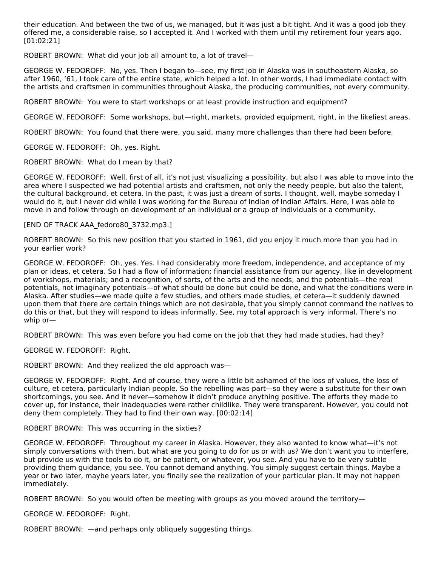their education. And between the two of us, we managed, but it was just a bit tight. And it was a good job they offered me, a considerable raise, so I accepted it. And I worked with them until my retirement four years ago. [01:02:21]

ROBERT BROWN: What did your job all amount to, a lot of travel—

GEORGE W. FEDOROFF: No, yes. Then I began to—see, my first job in Alaska was in southeastern Alaska, so after 1960, '61, I took care of the entire state, which helped a lot. In other words, I had immediate contact with the artists and craftsmen in communities throughout Alaska, the producing communities, not every community.

ROBERT BROWN: You were to start workshops or at least provide instruction and equipment?

GEORGE W. FEDOROFF: Some workshops, but—right, markets, provided equipment, right, in the likeliest areas.

ROBERT BROWN: You found that there were, you said, many more challenges than there had been before.

GEORGE W. FEDOROFF: Oh, yes. Right.

ROBERT BROWN: What do I mean by that?

GEORGE W. FEDOROFF: Well, first of all, it's not just visualizing a possibility, but also I was able to move into the area where I suspected we had potential artists and craftsmen, not only the needy people, but also the talent, the cultural background, et cetera. In the past, it was just a dream of sorts. I thought, well, maybe someday I would do it, but I never did while I was working for the Bureau of Indian of Indian Affairs. Here, I was able to move in and follow through on development of an individual or a group of individuals or a community.

[END OF TRACK AAA\_fedoro80\_3732.mp3.]

ROBERT BROWN: So this new position that you started in 1961, did you enjoy it much more than you had in your earlier work?

GEORGE W. FEDOROFF: Oh, yes. Yes. I had considerably more freedom, independence, and acceptance of my plan or ideas, et cetera. So I had a flow of information; financial assistance from our agency, like in development of workshops, materials; and a recognition, of sorts, of the arts and the needs, and the potentials—the real potentials, not imaginary potentials—of what should be done but could be done, and what the conditions were in Alaska. After studies—we made quite a few studies, and others made studies, et cetera—it suddenly dawned upon them that there are certain things which are not desirable, that you simply cannot command the natives to do this or that, but they will respond to ideas informally. See, my total approach is very informal. There's no whip or—

ROBERT BROWN: This was even before you had come on the job that they had made studies, had they?

GEORGE W. FEDOROFF: Right.

ROBERT BROWN: And they realized the old approach was—

GEORGE W. FEDOROFF: Right. And of course, they were a little bit ashamed of the loss of values, the loss of culture, et cetera, particularly Indian people. So the rebelling was part—so they were a substitute for their own shortcomings, you see. And it never—somehow it didn't produce anything positive. The efforts they made to cover up, for instance, their inadequacies were rather childlike. They were transparent. However, you could not deny them completely. They had to find their own way. [00:02:14]

ROBERT BROWN: This was occurring in the sixties?

GEORGE W. FEDOROFF: Throughout my career in Alaska. However, they also wanted to know what—it's not simply conversations with them, but what are you going to do for us or with us? We don't want you to interfere, but provide us with the tools to do it, or be patient, or whatever, you see. And you have to be very subtle providing them guidance, you see. You cannot demand anything. You simply suggest certain things. Maybe a year or two later, maybe years later, you finally see the realization of your particular plan. It may not happen immediately.

ROBERT BROWN: So you would often be meeting with groups as you moved around the territory—

GEORGE W. FEDOROFF: Right.

ROBERT BROWN: —and perhaps only obliquely suggesting things.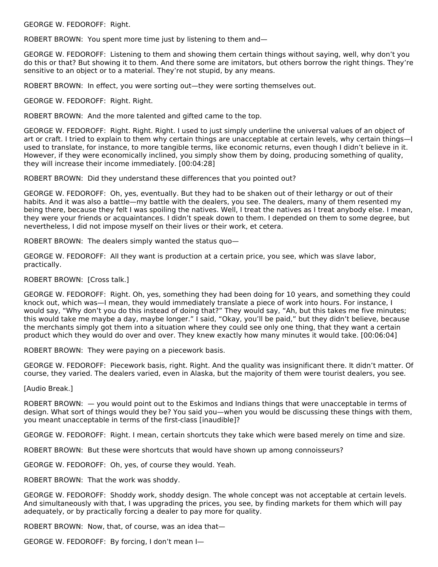GEORGE W. FEDOROFF: Right.

ROBERT BROWN: You spent more time just by listening to them and—

GEORGE W. FEDOROFF: Listening to them and showing them certain things without saying, well, why don't you do this or that? But showing it to them. And there some are imitators, but others borrow the right things. They're sensitive to an object or to a material. They're not stupid, by any means.

ROBERT BROWN: In effect, you were sorting out—they were sorting themselves out.

GEORGE W. FEDOROFF: Right. Right.

ROBERT BROWN: And the more talented and gifted came to the top.

GEORGE W. FEDOROFF: Right. Right. Right. I used to just simply underline the universal values of an object of art or craft. I tried to explain to them why certain things are unacceptable at certain levels, why certain things—I used to translate, for instance, to more tangible terms, like economic returns, even though I didn't believe in it. However, if they were economically inclined, you simply show them by doing, producing something of quality, they will increase their income immediately. [00:04:28]

ROBERT BROWN: Did they understand these differences that you pointed out?

GEORGE W. FEDOROFF: Oh, yes, eventually. But they had to be shaken out of their lethargy or out of their habits. And it was also a battle—my battle with the dealers, you see. The dealers, many of them resented my being there, because they felt I was spoiling the natives. Well, I treat the natives as I treat anybody else. I mean, they were your friends or acquaintances. I didn't speak down to them. I depended on them to some degree, but nevertheless, I did not impose myself on their lives or their work, et cetera.

ROBERT BROWN: The dealers simply wanted the status quo—

GEORGE W. FEDOROFF: All they want is production at a certain price, you see, which was slave labor, practically.

### ROBERT BROWN: [Cross talk.]

GEORGE W. FEDOROFF: Right. Oh, yes, something they had been doing for 10 years, and something they could knock out, which was—I mean, they would immediately translate a piece of work into hours. For instance, I would say, "Why don't you do this instead of doing that?" They would say, "Ah, but this takes me five minutes; this would take me maybe a day, maybe longer." I said, "Okay, you'll be paid," but they didn't believe, because the merchants simply got them into a situation where they could see only one thing, that they want a certain product which they would do over and over. They knew exactly how many minutes it would take. [00:06:04]

ROBERT BROWN: They were paying on a piecework basis.

GEORGE W. FEDOROFF: Piecework basis, right. Right. And the quality was insignificant there. It didn't matter. Of course, they varied. The dealers varied, even in Alaska, but the majority of them were tourist dealers, you see.

[Audio Break.]

ROBERT BROWN: — you would point out to the Eskimos and Indians things that were unacceptable in terms of design. What sort of things would they be? You said you—when you would be discussing these things with them, you meant unacceptable in terms of the first-class [inaudible]?

GEORGE W. FEDOROFF: Right. I mean, certain shortcuts they take which were based merely on time and size.

ROBERT BROWN: But these were shortcuts that would have shown up among connoisseurs?

GEORGE W. FEDOROFF: Oh, yes, of course they would. Yeah.

ROBERT BROWN: That the work was shoddy.

GEORGE W. FEDOROFF: Shoddy work, shoddy design. The whole concept was not acceptable at certain levels. And simultaneously with that, I was upgrading the prices, you see, by finding markets for them which will pay adequately, or by practically forcing a dealer to pay more for quality.

ROBERT BROWN: Now, that, of course, was an idea that—

GEORGE W. FEDOROFF: By forcing, I don't mean I—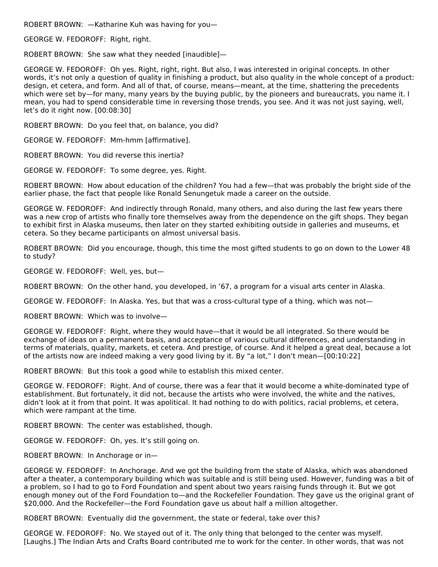ROBERT BROWN: —Katharine Kuh was having for you—

GEORGE W. FEDOROFF: Right, right.

ROBERT BROWN: She saw what they needed [inaudible]—

GEORGE W. FEDOROFF: Oh yes. Right, right, right. But also, I was interested in original concepts. In other words, it's not only a question of quality in finishing a product, but also quality in the whole concept of a product: design, et cetera, and form. And all of that, of course, means—meant, at the time, shattering the precedents which were set by—for many, many years by the buying public, by the pioneers and bureaucrats, you name it. I mean, you had to spend considerable time in reversing those trends, you see. And it was not just saying, well, let's do it right now. [00:08:30]

ROBERT BROWN: Do you feel that, on balance, you did?

GEORGE W. FEDOROFF: Mm-hmm [affirmative].

ROBERT BROWN: You did reverse this inertia?

GEORGE W. FEDOROFF: To some degree, yes. Right.

ROBERT BROWN: How about education of the children? You had a few—that was probably the bright side of the earlier phase, the fact that people like Ronald Senungetuk made a career on the outside.

GEORGE W. FEDOROFF: And indirectly through Ronald, many others, and also during the last few years there was a new crop of artists who finally tore themselves away from the dependence on the gift shops. They began to exhibit first in Alaska museums, then later on they started exhibiting outside in galleries and museums, et cetera. So they became participants on almost universal basis.

ROBERT BROWN: Did you encourage, though, this time the most gifted students to go on down to the Lower 48 to study?

GEORGE W. FEDOROFF: Well, yes, but—

ROBERT BROWN: On the other hand, you developed, in '67, a program for a visual arts center in Alaska.

GEORGE W. FEDOROFF: In Alaska. Yes, but that was a cross-cultural type of a thing, which was not—

ROBERT BROWN: Which was to involve—

GEORGE W. FEDOROFF: Right, where they would have—that it would be all integrated. So there would be exchange of ideas on a permanent basis, and acceptance of various cultural differences, and understanding in terms of materials, quality, markets, et cetera. And prestige, of course. And it helped a great deal, because a lot of the artists now are indeed making a very good living by it. By "a lot," I don't mean—[00:10:22]

ROBERT BROWN: But this took a good while to establish this mixed center.

GEORGE W. FEDOROFF: Right. And of course, there was a fear that it would become a white-dominated type of establishment. But fortunately, it did not, because the artists who were involved, the white and the natives, didn't look at it from that point. It was apolitical. It had nothing to do with politics, racial problems, et cetera, which were rampant at the time.

ROBERT BROWN: The center was established, though.

GEORGE W. FEDOROFF: Oh, yes. It's still going on.

ROBERT BROWN: In Anchorage or in—

GEORGE W. FEDOROFF: In Anchorage. And we got the building from the state of Alaska, which was abandoned after a theater, a contemporary building which was suitable and is still being used. However, funding was a bit of a problem, so I had to go to Ford Foundation and spent about two years raising funds through it. But we got enough money out of the Ford Foundation to—and the Rockefeller Foundation. They gave us the original grant of \$20,000. And the Rockefeller—the Ford Foundation gave us about half a million altogether.

ROBERT BROWN: Eventually did the government, the state or federal, take over this?

GEORGE W. FEDOROFF: No. We stayed out of it. The only thing that belonged to the center was myself. [Laughs.] The Indian Arts and Crafts Board contributed me to work for the center. In other words, that was not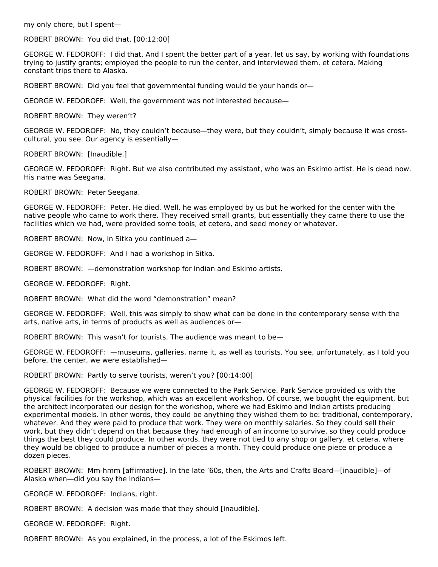my only chore, but I spent—

ROBERT BROWN: You did that. [00:12:00]

GEORGE W. FEDOROFF: I did that. And I spent the better part of a year, let us say, by working with foundations trying to justify grants; employed the people to run the center, and interviewed them, et cetera. Making constant trips there to Alaska.

ROBERT BROWN: Did you feel that governmental funding would tie your hands or—

GEORGE W. FEDOROFF: Well, the government was not interested because—

ROBERT BROWN: They weren't?

GEORGE W. FEDOROFF: No, they couldn't because—they were, but they couldn't, simply because it was crosscultural, you see. Our agency is essentially—

ROBERT BROWN: [Inaudible.]

GEORGE W. FEDOROFF: Right. But we also contributed my assistant, who was an Eskimo artist. He is dead now. His name was Seegana.

ROBERT BROWN: Peter Seegana.

GEORGE W. FEDOROFF: Peter. He died. Well, he was employed by us but he worked for the center with the native people who came to work there. They received small grants, but essentially they came there to use the facilities which we had, were provided some tools, et cetera, and seed money or whatever.

ROBERT BROWN: Now, in Sitka you continued a—

GEORGE W. FEDOROFF: And I had a workshop in Sitka.

ROBERT BROWN: —demonstration workshop for Indian and Eskimo artists.

GEORGE W. FEDOROFF: Right.

ROBERT BROWN: What did the word "demonstration" mean?

GEORGE W. FEDOROFF: Well, this was simply to show what can be done in the contemporary sense with the arts, native arts, in terms of products as well as audiences or—

ROBERT BROWN: This wasn't for tourists. The audience was meant to be—

GEORGE W. FEDOROFF: —museums, galleries, name it, as well as tourists. You see, unfortunately, as I told you before, the center, we were established—

ROBERT BROWN: Partly to serve tourists, weren't you? [00:14:00]

GEORGE W. FEDOROFF: Because we were connected to the Park Service. Park Service provided us with the physical facilities for the workshop, which was an excellent workshop. Of course, we bought the equipment, but the architect incorporated our design for the workshop, where we had Eskimo and Indian artists producing experimental models. In other words, they could be anything they wished them to be: traditional, contemporary, whatever. And they were paid to produce that work. They were on monthly salaries. So they could sell their work, but they didn't depend on that because they had enough of an income to survive, so they could produce things the best they could produce. In other words, they were not tied to any shop or gallery, et cetera, where they would be obliged to produce a number of pieces a month. They could produce one piece or produce a dozen pieces.

ROBERT BROWN: Mm-hmm [affirmative]. In the late '60s, then, the Arts and Crafts Board—[inaudible]—of Alaska when—did you say the Indians—

GEORGE W. FEDOROFF: Indians, right.

ROBERT BROWN: A decision was made that they should [inaudible].

GEORGE W. FEDOROFF: Right.

ROBERT BROWN: As you explained, in the process, a lot of the Eskimos left.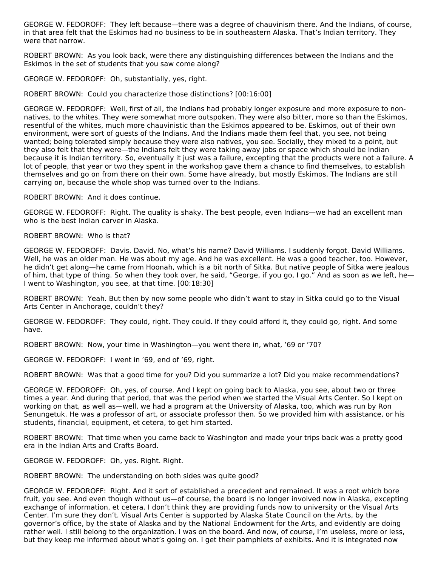GEORGE W. FEDOROFF: They left because—there was a degree of chauvinism there. And the Indians, of course, in that area felt that the Eskimos had no business to be in southeastern Alaska. That's Indian territory. They were that narrow.

ROBERT BROWN: As you look back, were there any distinguishing differences between the Indians and the Eskimos in the set of students that you saw come along?

GEORGE W. FEDOROFF: Oh, substantially, yes, right.

ROBERT BROWN: Could you characterize those distinctions? [00:16:00]

GEORGE W. FEDOROFF: Well, first of all, the Indians had probably longer exposure and more exposure to nonnatives, to the whites. They were somewhat more outspoken. They were also bitter, more so than the Eskimos, resentful of the whites, much more chauvinistic than the Eskimos appeared to be. Eskimos, out of their own environment, were sort of guests of the Indians. And the Indians made them feel that, you see, not being wanted; being tolerated simply because they were also natives, you see. Socially, they mixed to a point, but they also felt that they were—the Indians felt they were taking away jobs or space which should be Indian because it is Indian territory. So, eventually it just was a failure, excepting that the products were not a failure. A lot of people, that year or two they spent in the workshop gave them a chance to find themselves, to establish themselves and go on from there on their own. Some have already, but mostly Eskimos. The Indians are still carrying on, because the whole shop was turned over to the Indians.

ROBERT BROWN: And it does continue.

GEORGE W. FEDOROFF: Right. The quality is shaky. The best people, even Indians—we had an excellent man who is the best Indian carver in Alaska.

ROBERT BROWN: Who is that?

GEORGE W. FEDOROFF: Davis. David. No, what's his name? David Williams. I suddenly forgot. David Williams. Well, he was an older man. He was about my age. And he was excellent. He was a good teacher, too. However, he didn't get along—he came from Hoonah, which is a bit north of Sitka. But native people of Sitka were jealous of him, that type of thing. So when they took over, he said, "George, if you go, I go." And as soon as we left, he— I went to Washington, you see, at that time. [00:18:30]

ROBERT BROWN: Yeah. But then by now some people who didn't want to stay in Sitka could go to the Visual Arts Center in Anchorage, couldn't they?

GEORGE W. FEDOROFF: They could, right. They could. If they could afford it, they could go, right. And some have.

ROBERT BROWN: Now, your time in Washington—you went there in, what, '69 or '70?

GEORGE W. FEDOROFF: I went in '69, end of '69, right.

ROBERT BROWN: Was that a good time for you? Did you summarize a lot? Did you make recommendations?

GEORGE W. FEDOROFF: Oh, yes, of course. And I kept on going back to Alaska, you see, about two or three times a year. And during that period, that was the period when we started the Visual Arts Center. So I kept on working on that, as well as—well, we had a program at the University of Alaska, too, which was run by Ron Senungetuk. He was a professor of art, or associate professor then. So we provided him with assistance, or his students, financial, equipment, et cetera, to get him started.

ROBERT BROWN: That time when you came back to Washington and made your trips back was a pretty good era in the Indian Arts and Crafts Board.

GEORGE W. FEDOROFF: Oh, yes. Right. Right.

ROBERT BROWN: The understanding on both sides was quite good?

GEORGE W. FEDOROFF: Right. And it sort of established a precedent and remained. It was a root which bore fruit, you see. And even though without us—of course, the board is no longer involved now in Alaska, excepting exchange of information, et cetera. I don't think they are providing funds now to university or the Visual Arts Center. I'm sure they don't. Visual Arts Center is supported by Alaska State Council on the Arts, by the governor's office, by the state of Alaska and by the National Endowment for the Arts, and evidently are doing rather well. I still belong to the organization. I was on the board. And now, of course, I'm useless, more or less, but they keep me informed about what's going on. I get their pamphlets of exhibits. And it is integrated now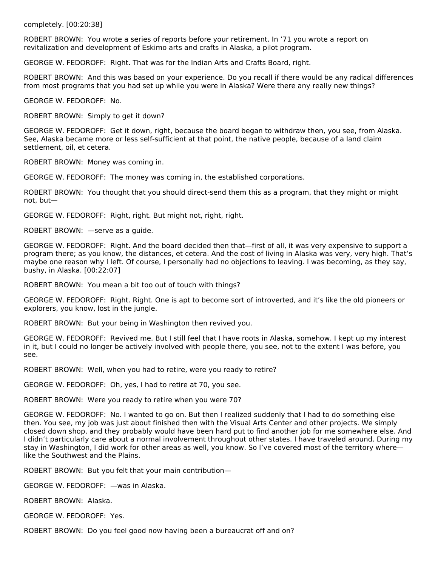completely. [00:20:38]

ROBERT BROWN: You wrote a series of reports before your retirement. In '71 you wrote a report on revitalization and development of Eskimo arts and crafts in Alaska, a pilot program.

GEORGE W. FEDOROFF: Right. That was for the Indian Arts and Crafts Board, right.

ROBERT BROWN: And this was based on your experience. Do you recall if there would be any radical differences from most programs that you had set up while you were in Alaska? Were there any really new things?

GEORGE W. FEDOROFF: No.

ROBERT BROWN: Simply to get it down?

GEORGE W. FEDOROFF: Get it down, right, because the board began to withdraw then, you see, from Alaska. See, Alaska became more or less self-sufficient at that point, the native people, because of a land claim settlement, oil, et cetera.

ROBERT BROWN: Money was coming in.

GEORGE W. FEDOROFF: The money was coming in, the established corporations.

ROBERT BROWN: You thought that you should direct-send them this as a program, that they might or might not, but—

GEORGE W. FEDOROFF: Right, right. But might not, right, right.

ROBERT BROWN: —serve as a guide.

GEORGE W. FEDOROFF: Right. And the board decided then that—first of all, it was very expensive to support a program there; as you know, the distances, et cetera. And the cost of living in Alaska was very, very high. That's maybe one reason why I left. Of course, I personally had no objections to leaving. I was becoming, as they say, bushy, in Alaska. [00:22:07]

ROBERT BROWN: You mean a bit too out of touch with things?

GEORGE W. FEDOROFF: Right. Right. One is apt to become sort of introverted, and it's like the old pioneers or explorers, you know, lost in the jungle.

ROBERT BROWN: But your being in Washington then revived you.

GEORGE W. FEDOROFF: Revived me. But I still feel that I have roots in Alaska, somehow. I kept up my interest in it, but I could no longer be actively involved with people there, you see, not to the extent I was before, you see.

ROBERT BROWN: Well, when you had to retire, were you ready to retire?

GEORGE W. FEDOROFF: Oh, yes, I had to retire at 70, you see.

ROBERT BROWN: Were you ready to retire when you were 70?

GEORGE W. FEDOROFF: No. I wanted to go on. But then I realized suddenly that I had to do something else then. You see, my job was just about finished then with the Visual Arts Center and other projects. We simply closed down shop, and they probably would have been hard put to find another job for me somewhere else. And I didn't particularly care about a normal involvement throughout other states. I have traveled around. During my stay in Washington, I did work for other areas as well, you know. So I've covered most of the territory where like the Southwest and the Plains.

ROBERT BROWN: But you felt that your main contribution—

GEORGE W. FEDOROFF: —was in Alaska.

ROBERT BROWN: Alaska.

GEORGE W. FEDOROFF: Yes.

ROBERT BROWN: Do you feel good now having been a bureaucrat off and on?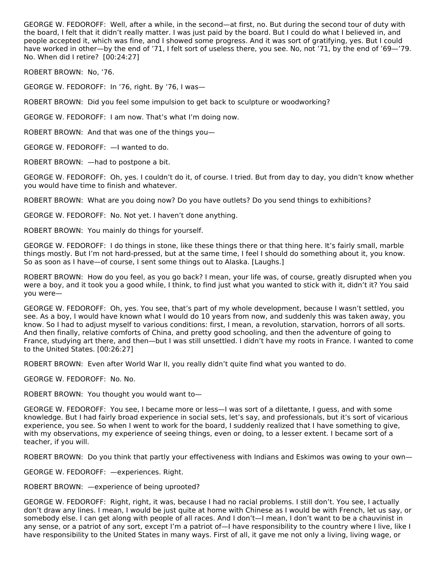GEORGE W. FEDOROFF: Well, after a while, in the second—at first, no. But during the second tour of duty with the board, I felt that it didn't really matter. I was just paid by the board. But I could do what I believed in, and people accepted it, which was fine, and I showed some progress. And it was sort of gratifying, yes. But I could have worked in other—by the end of '71, I felt sort of useless there, you see. No, not '71, by the end of '69—'79. No. When did I retire? [00:24:27]

ROBERT BROWN: No, '76.

GEORGE W. FEDOROFF: In '76, right. By '76, I was—

ROBERT BROWN: Did you feel some impulsion to get back to sculpture or woodworking?

GEORGE W. FEDOROFF: I am now. That's what I'm doing now.

ROBERT BROWN: And that was one of the things you—

GEORGE W. FEDOROFF: —I wanted to do.

ROBERT BROWN: —had to postpone a bit.

GEORGE W. FEDOROFF: Oh, yes. I couldn't do it, of course. I tried. But from day to day, you didn't know whether you would have time to finish and whatever.

ROBERT BROWN: What are you doing now? Do you have outlets? Do you send things to exhibitions?

GEORGE W. FEDOROFF: No. Not yet. I haven't done anything.

ROBERT BROWN: You mainly do things for yourself.

GEORGE W. FEDOROFF: I do things in stone, like these things there or that thing here. It's fairly small, marble things mostly. But I'm not hard-pressed, but at the same time, I feel I should do something about it, you know. So as soon as I have—of course, I sent some things out to Alaska. [Laughs.]

ROBERT BROWN: How do you feel, as you go back? I mean, your life was, of course, greatly disrupted when you were a boy, and it took you a good while, I think, to find just what you wanted to stick with it, didn't it? You said you were—

GEORGE W. FEDOROFF: Oh, yes. You see, that's part of my whole development, because I wasn't settled, you see. As a boy, I would have known what I would do 10 years from now, and suddenly this was taken away, you know. So I had to adjust myself to various conditions: first, I mean, a revolution, starvation, horrors of all sorts. And then finally, relative comforts of China, and pretty good schooling, and then the adventure of going to France, studying art there, and then—but I was still unsettled. I didn't have my roots in France. I wanted to come to the United States. [00:26:27]

ROBERT BROWN: Even after World War II, you really didn't quite find what you wanted to do.

GEORGE W. FEDOROFF: No. No.

ROBERT BROWN: You thought you would want to—

GEORGE W. FEDOROFF: You see, I became more or less—I was sort of a dilettante, I guess, and with some knowledge. But I had fairly broad experience in social sets, let's say, and professionals, but it's sort of vicarious experience, you see. So when I went to work for the board, I suddenly realized that I have something to give, with my observations, my experience of seeing things, even or doing, to a lesser extent. I became sort of a teacher, if you will.

ROBERT BROWN: Do you think that partly your effectiveness with Indians and Eskimos was owing to your own—

GEORGE W. FEDOROFF: —experiences. Right.

ROBERT BROWN: —experience of being uprooted?

GEORGE W. FEDOROFF: Right, right, it was, because I had no racial problems. I still don't. You see, I actually don't draw any lines. I mean, I would be just quite at home with Chinese as I would be with French, let us say, or somebody else. I can get along with people of all races. And I don't—I mean, I don't want to be a chauvinist in any sense, or a patriot of any sort, except I'm a patriot of—I have responsibility to the country where I live, like I have responsibility to the United States in many ways. First of all, it gave me not only a living, living wage, or